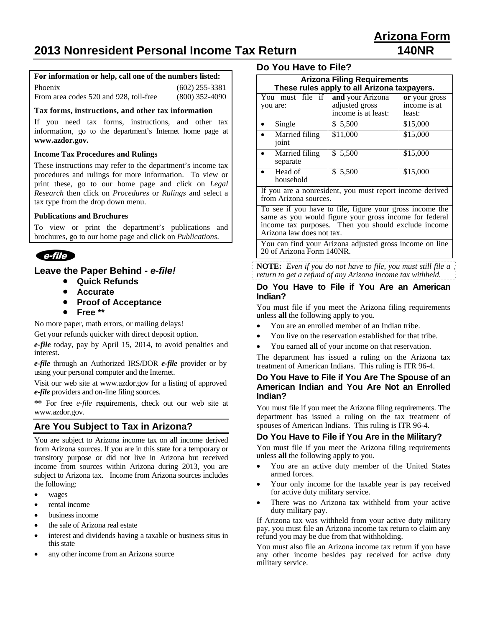# **2013 Nonresident Personal Income Tax Return 140NR**

#### **For information or help, call one of the numbers listed:**

| Phoenix                                | $(602)$ 255-3381 |
|----------------------------------------|------------------|
| From area codes 520 and 928, toll-free | $(800)$ 352-4090 |

#### **Tax forms, instructions, and other tax information**

If you need tax forms, instructions, and other tax information, go to the department's Internet home page at **www.azdor.gov.**

#### **Income Tax Procedures and Rulings**

These instructions may refer to the department's income tax procedures and rulings for more information. To view or print these, go to our home page and click on *Legal Research* then click on *Procedures* or *Rulings* and select a tax type from the drop down menu.

#### **Publications and Brochures**

To view or print the department's publications and brochures, go to our home page and click on *Publications*.



### **Leave the Paper Behind -** *e-file!*

- **Quick Refunds**
- **Accurate**
- **Proof of Acceptance**
- **Free \*\***

No more paper, math errors, or mailing delays!

Get your refunds quicker with direct deposit option.

*e-file* today, pay by April 15, 2014, to avoid penalties and interest.

*e-file* through an Authorized IRS/DOR *e-file* provider or by using your personal computer and the Internet.

Visit our web site at www.azdor.gov for a listing of approved *e-file* providers and on-line filing sources.

**\*\*** For free *e-file* requirements, check out our web site at www.azdor.gov.

### **Are You Subject to Tax in Arizona?**

You are subject to Arizona income tax on all income derived from Arizona sources. If you are in this state for a temporary or transitory purpose or did not live in Arizona but received income from sources within Arizona during 2013, you are subject to Arizona tax. Income from Arizona sources includes the following:

- wages
- rental income
- business income
- the sale of Arizona real estate
- interest and dividends having a taxable or business situs in this state
- any other income from an Arizona source

### **Do You Have to File?**

| <b>Arizona Filing Requirements</b><br>These rules apply to all Arizona taxpayers. |                                                           |                                         |
|-----------------------------------------------------------------------------------|-----------------------------------------------------------|-----------------------------------------|
| You must file if<br>you are:                                                      | and your Arizona<br>adjusted gross<br>income is at least: | or your gross<br>income is at<br>least: |
| Single                                                                            | \$ 5,500                                                  | \$15,000                                |
| Married filing<br>joint                                                           | \$11,000                                                  | \$15,000                                |
| Married filing<br>separate                                                        | \$5,500                                                   | \$15,000                                |
| Head of<br>household                                                              | \$ 5,500                                                  | \$15,000                                |
| If you are a nonresident, you must report income derived<br>from Arizona sources. |                                                           |                                         |

To see if you have to file, figure your gross income the same as you would figure your gross income for federal income tax purposes. Then you should exclude income Arizona law does not tax.

You can find your Arizona adjusted gross income on line 20 of Arizona Form 140NR.

**NOTE:** *Even if you do not have to file, you must still file a return to get a refund of any Arizona income tax withheld.*

#### **Do You Have to File if You Are an American Indian?**

You must file if you meet the Arizona filing requirements unless **all** the following apply to you.

- You are an enrolled member of an Indian tribe.
- You live on the reservation established for that tribe.
- You earned **all** of your income on that reservation.

The department has issued a ruling on the Arizona tax treatment of American Indians. This ruling is ITR 96-4.

#### **Do You Have to File if You Are The Spouse of an American Indian and You Are Not an Enrolled Indian?**

You must file if you meet the Arizona filing requirements. The department has issued a ruling on the tax treatment of spouses of American Indians. This ruling is ITR 96-4.

#### **Do You Have to File if You Are in the Military?**

You must file if you meet the Arizona filing requirements unless **all** the following apply to you.

- You are an active duty member of the United States armed forces.
- Your only income for the taxable year is pay received for active duty military service.
- There was no Arizona tax withheld from your active duty military pay.

If Arizona tax was withheld from your active duty military pay, you must file an Arizona income tax return to claim any refund you may be due from that withholding.

You must also file an Arizona income tax return if you have any other income besides pay received for active duty military service.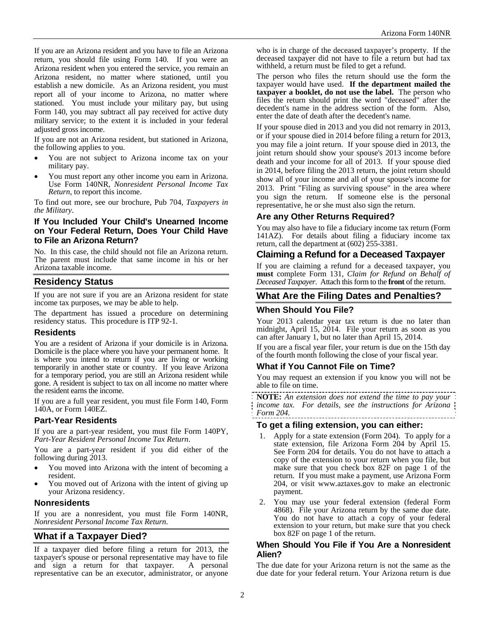If you are an Arizona resident and you have to file an Arizona return, you should file using Form 140. If you were an Arizona resident when you entered the service, you remain an Arizona resident, no matter where stationed, until you establish a new domicile. As an Arizona resident, you must report all of your income to Arizona, no matter where stationed. You must include your military pay, but using Form 140, you may subtract all pay received for active duty military service; to the extent it is included in your federal adjusted gross income.

If you are not an Arizona resident, but stationed in Arizona, the following applies to you.

- You are not subject to Arizona income tax on your military pay.
- You must report any other income you earn in Arizona. Use Form 140NR, *Nonresident Personal Income Tax Return*, to report this income.

To find out more, see our brochure, Pub 704, *Taxpayers in the Military*.

#### **If You Included Your Child's Unearned Income on Your Federal Return, Does Your Child Have to File an Arizona Return?**

No. In this case, the child should not file an Arizona return. The parent must include that same income in his or her Arizona taxable income.

# **Residency Status**

If you are not sure if you are an Arizona resident for state income tax purposes, we may be able to help.

The department has issued a procedure on determining residency status. This procedure is ITP 92-1.

### **Residents**

You are a resident of Arizona if your domicile is in Arizona. Domicile is the place where you have your permanent home. It is where you intend to return if you are living or working temporarily in another state or country. If you leave Arizona for a temporary period, you are still an Arizona resident while gone. A resident is subject to tax on all income no matter where the resident earns the income.

If you are a full year resident, you must file Form 140, Form 140A, or Form 140EZ.

### **Part-Year Residents**

If you are a part-year resident, you must file Form 140PY, *Part-Year Resident Personal Income Tax Return*.

You are a part-year resident if you did either of the following during 2013.

- You moved into Arizona with the intent of becoming a resident.
- You moved out of Arizona with the intent of giving up your Arizona residency.

### **Nonresidents**

If you are a nonresident, you must file Form 140NR, *Nonresident Personal Income Tax Return.*

# **What if a Taxpayer Died?**

If a taxpayer died before filing a return for 2013, the taxpayer's spouse or personal representative may have to file and sign a return for that taxpayer. A personal representative can be an executor, administrator, or anyone who is in charge of the deceased taxpayer's property. If the deceased taxpayer did not have to file a return but had tax withheld, a return must be filed to get a refund.

The person who files the return should use the form the taxpayer would have used. **If the department mailed the taxpayer a booklet, do not use the label.** The person who files the return should print the word "deceased" after the decedent's name in the address section of the form. Also, enter the date of death after the decedent's name.

If your spouse died in 2013 and you did not remarry in 2013, or if your spouse died in 2014 before filing a return for 2013, you may file a joint return. If your spouse died in 2013, the joint return should show your spouse's 2013 income before death and your income for all of 2013. If your spouse died in 2014, before filing the 2013 return, the joint return should show all of your income and all of your spouse's income for 2013. Print "Filing as surviving spouse" in the area where you sign the return. If someone else is the personal representative, he or she must also sign the return.

### **Are any Other Returns Required?**

You may also have to file a fiduciary income tax return (Form 141AZ). For details about filing a fiduciary income tax return, call the department at (602) 255-3381.

# **Claiming a Refund for a Deceased Taxpayer**

If you are claiming a refund for a deceased taxpayer, you **must** complete Form 131, *Claim for Refund on Behalf of Deceased Taxpayer*. Attach this form to the **front** of the return.

# **What Are the Filing Dates and Penalties?**

### **When Should You File?**

Your 2013 calendar year tax return is due no later than midnight, April 15, 2014. File your return as soon as you can after January 1, but no later than April 15, 2014.

If you are a fiscal year filer, your return is due on the 15th day of the fourth month following the close of your fiscal year.

### **What if You Cannot File on Time?**

You may request an extension if you know you will not be able to file on time.

**NOTE:** *An extension does not extend the time to pay your income tax. For details, see the instructions for Arizona Form 204.* 

### **To get a filing extension, you can either:**

- 1. Apply for a state extension (Form 204). To apply for a state extension, file Arizona Form 204 by April 15. See Form 204 for details. You do not have to attach a copy of the extension to your return when you file, but make sure that you check box 82F on page 1 of the return. If you must make a payment, use Arizona Form 204, or visit www.aztaxes.gov to make an electronic payment.
- 2. You may use your federal extension (federal Form 4868). File your Arizona return by the same due date. You do not have to attach a copy of your federal extension to your return, but make sure that you check box 82F on page 1 of the return.

#### **When Should You File if You Are a Nonresident Alien?**

The due date for your Arizona return is not the same as the due date for your federal return. Your Arizona return is due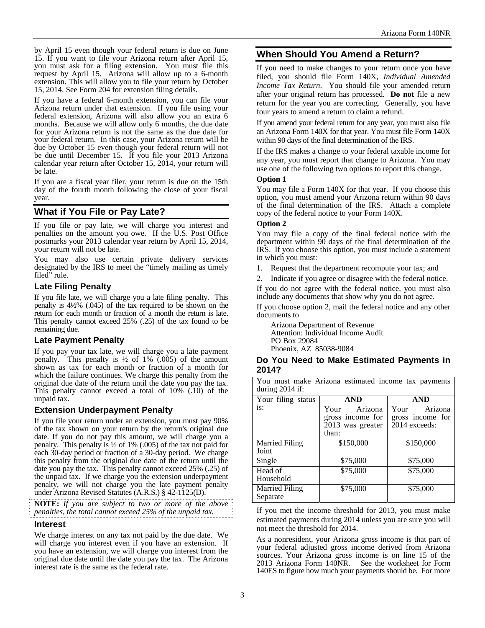by April 15 even though your federal return is due on June 15. If you want to file your Arizona return after April 15, you must ask for a filing extension. You must file this request by April 15. Arizona will allow up to a 6-month extension. This will allow you to file your return by October 15, 2014. See Form 204 for extension filing details.

If you have a federal 6-month extension, you can file your Arizona return under that extension. If you file using your federal extension, Arizona will also allow you an extra 6 months. Because we will allow only 6 months, the due date for your Arizona return is not the same as the due date for your federal return. In this case, your Arizona return will be due by October 15 even though your federal return will not be due until December 15. If you file your 2013 Arizona calendar year return after October 15, 2014, your return will be late.

If you are a fiscal year filer, your return is due on the 15th day of the fourth month following the close of your fiscal year.

# **What if You File or Pay Late?**

If you file or pay late, we will charge you interest and penalties on the amount you owe. If the U.S. Post Office postmarks your 2013 calendar year return by April 15, 2014, your return will not be late.

You may also use certain private delivery services designated by the IRS to meet the "timely mailing as timely filed" rule.

### **Late Filing Penalty**

If you file late, we will charge you a late filing penalty. This penalty is 4½% (.045) of the tax required to be shown on the return for each month or fraction of a month the return is late. This penalty cannot exceed 25% (.25) of the tax found to be remaining due.

### **Late Payment Penalty**

If you pay your tax late, we will charge you a late payment penalty. This penalty is  $\frac{1}{2}$  of 1% (.005) of the amount shown as tax for each month or fraction of a month for which the failure continues. We charge this penalty from the original due date of the return until the date you pay the tax. This penalty cannot exceed a total of  $10\%$  (.10) of the unpaid tax.

### **Extension Underpayment Penalty**

If you file your return under an extension, you must pay 90% of the tax shown on your return by the return's original due date. If you do not pay this amount, we will charge you a penalty. This penalty is  $\frac{1}{2}$  of 1% (.005) of the tax not paid for each 30-day period or fraction of a 30-day period. We charge this penalty from the original due date of the return until the date you pay the tax. This penalty cannot exceed 25% (.25) of the unpaid tax. If we charge you the extension underpayment penalty, we will not charge you the late payment penalty under Arizona Revised Statutes (A.R.S.) § 42-1125(D).

**NOTE:** *If you are subject to two or more of the above penalties, the total cannot exceed 25% of the unpaid tax.* 

#### **Interest**

We charge interest on any tax not paid by the due date. We will charge you interest even if you have an extension. If you have an extension, we will charge you interest from the original due date until the date you pay the tax. The Arizona interest rate is the same as the federal rate.

# **When Should You Amend a Return?**

If you need to make changes to your return once you have filed, you should file Form 140X, *Individual Amended Income Tax Return*. You should file your amended return after your original return has processed. **Do not** file a new return for the year you are correcting. Generally, you have four years to amend a return to claim a refund.

If you amend your federal return for any year, you must also file an Arizona Form 140X for that year. You must file Form 140X within 90 days of the final determination of the IRS.

If the IRS makes a change to your federal taxable income for any year, you must report that change to Arizona. You may use one of the following two options to report this change.

#### **Option 1**

You may file a Form 140X for that year. If you choose this option, you must amend your Arizona return within 90 days of the final determination of the IRS. Attach a complete copy of the federal notice to your Form 140X.

#### **Option 2**

You may file a copy of the final federal notice with the department within 90 days of the final determination of the IRS. If you choose this option, you must include a statement in which you must:

- 1. Request that the department recompute your tax; and
- Indicate if you agree or disagree with the federal notice.

If you do not agree with the federal notice, you must also include any documents that show why you do not agree.

If you choose option 2, mail the federal notice and any other documents to

Arizona Department of Revenue Attention: Individual Income Audit PO Box 29084 Phoenix, AZ 85038-9084

#### **Do You Need to Make Estimated Payments in 2014?**

You must make Arizona estimated income tax payments during 2014 if:

| Your filing status                | <b>AND</b>                                                       | <b>AND</b>                                           |  |  |
|-----------------------------------|------------------------------------------------------------------|------------------------------------------------------|--|--|
| is:                               | Arizona<br>Your<br>gross income for<br>2013 was greater<br>than: | Arizona<br>Your<br>gross income for<br>2014 exceeds: |  |  |
| <b>Married Filing</b><br>Joint    | \$150,000                                                        | \$150,000                                            |  |  |
| Single                            | \$75,000                                                         | \$75,000                                             |  |  |
| Head of<br>Household              | \$75,000                                                         | \$75,000                                             |  |  |
| <b>Married Filing</b><br>Separate | \$75,000                                                         | \$75,000                                             |  |  |

If you met the income threshold for 2013, you must make estimated payments during 2014 unless you are sure you will not meet the threshold for 2014.

As a nonresident, your Arizona gross income is that part of your federal adjusted gross income derived from Arizona sources. Your Arizona gross income is on line 15 of the 2013 Arizona Form 140NR. See the worksheet for Form See the worksheet for Form 140ES to figure how much your payments should be. For more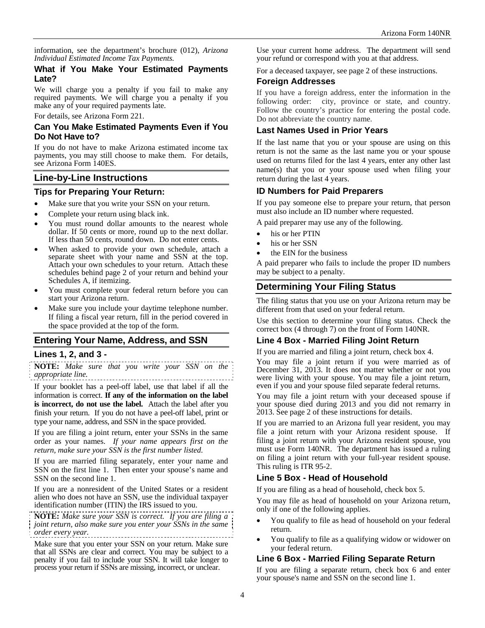information, see the department's brochure (012), *Arizona Individual Estimated Income Tax Payments.* 

#### **What if You Make Your Estimated Payments Late?**

We will charge you a penalty if you fail to make any required payments. We will charge you a penalty if you make any of your required payments late.

For details, see Arizona Form 221.

#### **Can You Make Estimated Payments Even if You Do Not Have to?**

If you do not have to make Arizona estimated income tax payments, you may still choose to make them. For details, see Arizona Form 140ES.

### **Line-by-Line Instructions**

#### **Tips for Preparing Your Return:**

- Make sure that you write your SSN on your return.
- Complete your return using black ink.
- You must round dollar amounts to the nearest whole dollar. If 50 cents or more, round up to the next dollar. If less than 50 cents, round down. Do not enter cents.
- When asked to provide your own schedule, attach a separate sheet with your name and SSN at the top. Attach your own schedules to your return. Attach these schedules behind page 2 of your return and behind your Schedules A, if itemizing.
- You must complete your federal return before you can start your Arizona return.
- Make sure you include your daytime telephone number. If filing a fiscal year return, fill in the period covered in the space provided at the top of the form.

### **Entering Your Name, Address, and SSN**

#### **Lines 1, 2, and 3 -**

**NOTE:** *Make sure that you write your SSN on the appropriate line.*

If your booklet has a peel-off label, use that label if all the information is correct. **If any of the information on the label is incorrect, do not use the label.** Attach the label after you finish your return. If you do not have a peel-off label, print or type your name, address, and SSN in the space provided.

If you are filing a joint return, enter your SSNs in the same order as your names. *If your name appears first on the return, make sure your SSN is the first number listed*.

If you are married filing separately, enter your name and SSN on the first line 1. Then enter your spouse's name and SSN on the second line 1.

If you are a nonresident of the United States or a resident alien who does not have an SSN, use the individual taxpayer identification number (ITIN) the IRS issued to you.

**NOTE:** *Make sure your SSN is correct. If you are filing a joint return, also make sure you enter your SSNs in the same order every year.*  . . . . . . . . . .

Make sure that you enter your SSN on your return. Make sure that all SSNs are clear and correct. You may be subject to a penalty if you fail to include your SSN. It will take longer to process your return if SSNs are missing, incorrect, or unclear.

Use your current home address. The department will send your refund or correspond with you at that address.

For a deceased taxpayer, see page 2 of these instructions.

### **Foreign Addresses**

If you have a foreign address, enter the information in the following order: city, province or state, and country. Follow the country's practice for entering the postal code. Do not abbreviate the country name.

### **Last Names Used in Prior Years**

If the last name that you or your spouse are using on this return is not the same as the last name you or your spouse used on returns filed for the last 4 years, enter any other last name(s) that you or your spouse used when filing your return during the last 4 years.

### **ID Numbers for Paid Preparers**

If you pay someone else to prepare your return, that person must also include an ID number where requested.

A paid preparer may use any of the following.

- his or her PTIN
- his or her SSN
- the EIN for the business

A paid preparer who fails to include the proper ID numbers may be subject to a penalty.

# **Determining Your Filing Status**

The filing status that you use on your Arizona return may be different from that used on your federal return.

Use this section to determine your filing status. Check the correct box (4 through 7) on the front of Form 140NR.

### **Line 4 Box - Married Filing Joint Return**

If you are married and filing a joint return, check box 4.

You may file a joint return if you were married as of December 31, 2013. It does not matter whether or not you were living with your spouse. You may file a joint return, even if you and your spouse filed separate federal returns.

You may file a joint return with your deceased spouse if your spouse died during 2013 and you did not remarry in 2013. See page 2 of these instructions for details.

If you are married to an Arizona full year resident, you may file a joint return with your Arizona resident spouse. If filing a joint return with your Arizona resident spouse, you must use Form 140NR. The department has issued a ruling on filing a joint return with your full-year resident spouse. This ruling is ITR 95-2.

### **Line 5 Box - Head of Household**

If you are filing as a head of household, check box 5.

You may file as head of household on your Arizona return, only if one of the following applies.

- You qualify to file as head of household on your federal return.
- You qualify to file as a qualifying widow or widower on your federal return.

### **Line 6 Box - Married Filing Separate Return**

If you are filing a separate return, check box 6 and enter your spouse's name and SSN on the second line 1.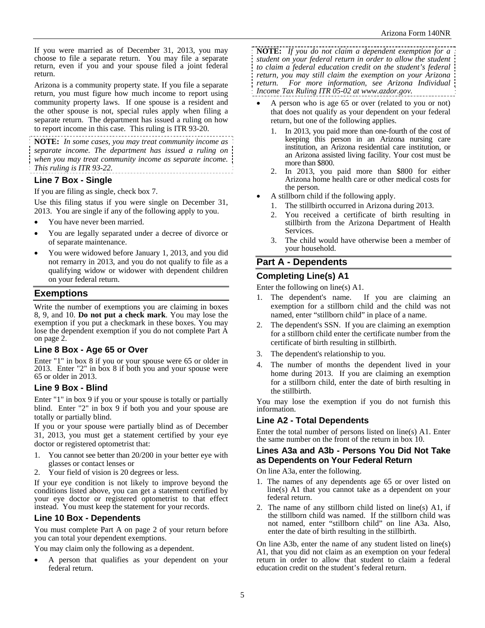If you were married as of December 31, 2013, you may choose to file a separate return. You may file a separate return, even if you and your spouse filed a joint federal return.

Arizona is a community property state. If you file a separate return, you must figure how much income to report using community property laws. If one spouse is a resident and the other spouse is not, special rules apply when filing a separate return. The department has issued a ruling on how to report income in this case. This ruling is ITR 93-20.

**NOTE:** *In some cases, you may treat community income as separate income. The department has issued a ruling on when you may treat community income as separate income. This ruling is ITR 93-22.* 

### **Line 7 Box - Single**

If you are filing as single, check box 7.

Use this filing status if you were single on December 31, 2013. You are single if any of the following apply to you.

- You have never been married.
- You are legally separated under a decree of divorce or of separate maintenance.
- You were widowed before January 1, 2013, and you did not remarry in 2013, and you do not qualify to file as a qualifying widow or widower with dependent children on your federal return.

### **Exemptions**

Write the number of exemptions you are claiming in boxes 8, 9, and 10. **Do not put a check mark**. You may lose the exemption if you put a checkmark in these boxes. You may lose the dependent exemption if you do not complete Part A on page 2.

### **Line 8 Box - Age 65 or Over**

Enter "1" in box 8 if you or your spouse were 65 or older in 2013. Enter "2" in box 8 if both you and your spouse were 65 or older in 2013.

### **Line 9 Box - Blind**

Enter "1" in box 9 if you or your spouse is totally or partially blind. Enter "2" in box 9 if both you and your spouse are totally or partially blind.

If you or your spouse were partially blind as of December 31, 2013, you must get a statement certified by your eye doctor or registered optometrist that:

- 1. You cannot see better than 20/200 in your better eye with glasses or contact lenses or
- 2. Your field of vision is 20 degrees or less.

If your eye condition is not likely to improve beyond the conditions listed above, you can get a statement certified by your eye doctor or registered optometrist to that effect instead. You must keep the statement for your records.

### **Line 10 Box - Dependents**

You must complete Part A on page 2 of your return before you can total your dependent exemptions.

You may claim only the following as a dependent.

 A person that qualifies as your dependent on your federal return.

**NOTE:** *If you do not claim a dependent exemption for a student on your federal return in order to allow the student to claim a federal education credit on the student's federal return, you may still claim the exemption on your Arizona return. For more information, see Arizona Individual Income Tax Ruling ITR 05-02 at www.azdor.gov.*

- A person who is age 65 or over (related to you or not) that does not qualify as your dependent on your federal return, but one of the following applies.
	- 1. In 2013, you paid more than one-fourth of the cost of keeping this person in an Arizona nursing care institution, an Arizona residential care institution, or an Arizona assisted living facility. Your cost must be more than \$800.
	- 2. In 2013, you paid more than \$800 for either Arizona home health care or other medical costs for the person.
- A stillborn child if the following apply.
	- 1. The stillbirth occurred in Arizona during 2013.
	- 2. You received a certificate of birth resulting in stillbirth from the Arizona Department of Health Services.
	- 3. The child would have otherwise been a member of your household.

# **Part A - Dependents**

### **Completing Line(s) A1**

Enter the following on line(s) A1.

- 1. The dependent's name. If you are claiming an exemption for a stillborn child and the child was not named, enter "stillborn child" in place of a name.
- 2. The dependent's SSN. If you are claiming an exemption for a stillborn child enter the certificate number from the certificate of birth resulting in stillbirth.
- 3. The dependent's relationship to you.
- 4. The number of months the dependent lived in your home during 2013. If you are claiming an exemption for a stillborn child, enter the date of birth resulting in the stillbirth.

You may lose the exemption if you do not furnish this information.

### **Line A2 - Total Dependents**

Enter the total number of persons listed on line(s) A1. Enter the same number on the front of the return in box 10.

#### **Lines A3a and A3b - Persons You Did Not Take as Dependents on Your Federal Return**

On line A3a, enter the following.

- 1. The names of any dependents age 65 or over listed on line(s) A1 that you cannot take as a dependent on your federal return.
- 2. The name of any stillborn child listed on line(s) A1, if the stillborn child was named. If the stillborn child was not named, enter "stillborn child" on line A3a. Also, enter the date of birth resulting in the stillbirth.

On line A3b, enter the name of any student listed on line(s) A1, that you did not claim as an exemption on your federal return in order to allow that student to claim a federal education credit on the student's federal return.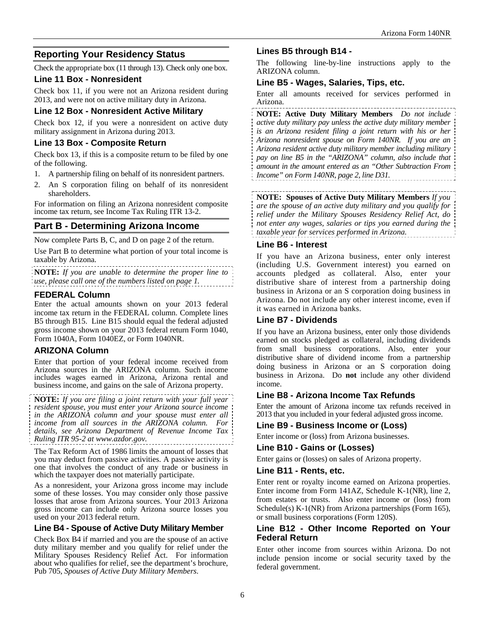# **Reporting Your Residency Status**

Check the appropriate box (11 through 13). Check only one box.

### **Line 11 Box - Nonresident**

Check box 11, if you were not an Arizona resident during 2013, and were not on active military duty in Arizona.

### **Line 12 Box - Nonresident Active Military**

Check box 12, if you were a nonresident on active duty military assignment in Arizona during 2013.

### **Line 13 Box - Composite Return**

Check box 13, if this is a composite return to be filed by one of the following.

- 1. A partnership filing on behalf of its nonresident partners.
- 2. An S corporation filing on behalf of its nonresident shareholders.

For information on filing an Arizona nonresident composite income tax return, see Income Tax Ruling ITR 13-2.

# **Part B - Determining Arizona Income**

Now complete Parts B, C, and D on page 2 of the return.

Use Part B to determine what portion of your total income is taxable by Arizona.

**NOTE:** *If you are unable to determine the proper line to use, please call one of the numbers listed on page 1.* 

### **FEDERAL Column**

Enter the actual amounts shown on your 2013 federal income tax return in the FEDERAL column. Complete lines B5 through B15. Line B15 should equal the federal adjusted gross income shown on your 2013 federal return Form 1040, Form 1040A, Form 1040EZ, or Form 1040NR.

### **ARIZONA Column**

Enter that portion of your federal income received from Arizona sources in the ARIZONA column. Such income includes wages earned in Arizona, Arizona rental and business income, and gains on the sale of Arizona property.

**NOTE:** *If you are filing a joint return with your full year resident spouse, you must enter your Arizona source income in the ARIZONA column and your spouse must enter all income from all sources in the ARIZONA column. For details, see Arizona Department of Revenue Income Tax Ruling ITR 95-2 at www.azdor.gov.*

The Tax Reform Act of 1986 limits the amount of losses that you may deduct from passive activities. A passive activity is one that involves the conduct of any trade or business in which the taxpayer does not materially participate.

As a nonresident, your Arizona gross income may include some of these losses. You may consider only those passive losses that arose from Arizona sources. Your 2013 Arizona gross income can include only Arizona source losses you used on your 2013 federal return.

### **Line B4 - Spouse of Active Duty Military Member**

Check Box B4 if married and you are the spouse of an active duty military member and you qualify for relief under the Military Spouses Residency Relief Act. For information about who qualifies for relief, see the department's brochure, Pub 705, *Spouses of Active Duty Military Members*.

## **Lines B5 through B14 -**

The following line-by-line instructions apply to the ARIZONA column.

### **Line B5 - Wages, Salaries, Tips, etc.**

Enter all amounts received for services performed in Arizona.

**NOTE: Active Duty Military Members** *Do not include active duty military pay unless the active duty military member is an Arizona resident filing a joint return with his or her Arizona nonresident spouse on Form 140NR. If you are an Arizona resident active duty military member including military pay on line B5 in the "ARIZONA" column, also include that amount in the amount entered as an "Other Subtraction From Income" on Form 140NR, page 2, line D31.* 

**NOTE: Spouses of Active Duty Military Members** *If you are the spouse of an active duty military and you qualify for relief under the Military Spouses Residency Relief Act, do not enter any wages, salaries or tips you earned during the taxable year for services performed in Arizona.*

### **Line B6 - Interest**

If you have an Arizona business, enter only interest (including U.S. Government interest) you earned on accounts pledged as collateral. Also, enter your distributive share of interest from a partnership doing business in Arizona or an S corporation doing business in Arizona. Do not include any other interest income, even if it was earned in Arizona banks.

### **Line B7 - Dividends**

If you have an Arizona business, enter only those dividends earned on stocks pledged as collateral, including dividends from small business corporations. Also, enter your distributive share of dividend income from a partnership doing business in Arizona or an S corporation doing business in Arizona. Do **not** include any other dividend income.

### **Line B8 - Arizona Income Tax Refunds**

Enter the amount of Arizona income tax refunds received in 2013 that you included in your federal adjusted gross income.

### **Line B9 - Business Income or (Loss)**

Enter income or (loss) from Arizona businesses.

### **Line B10 - Gains or (Losses)**

Enter gains or (losses) on sales of Arizona property.

#### **Line B11 - Rents, etc.**

Enter rent or royalty income earned on Arizona properties. Enter income from Form 141AZ, Schedule K-1(NR), line 2, from estates or trusts. Also enter income or (loss) from Schedule(s) K-1(NR) from Arizona partnerships (Form 165), or small business corporations (Form 120S).

### **Line B12 - Other Income Reported on Your Federal Return**

Enter other income from sources within Arizona. Do not include pension income or social security taxed by the federal government.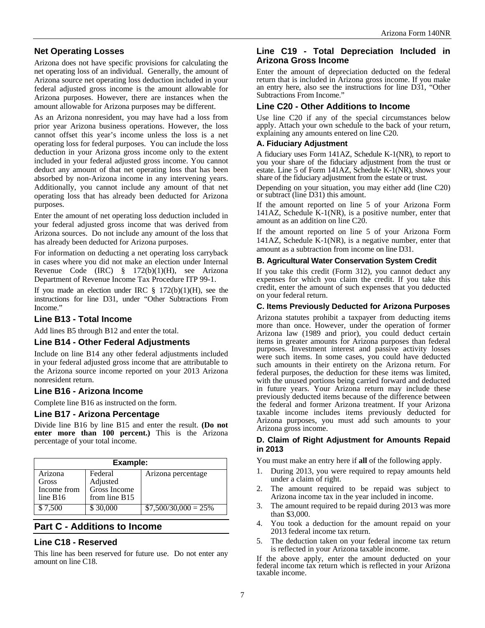## **Net Operating Losses**

Arizona does not have specific provisions for calculating the net operating loss of an individual. Generally, the amount of Arizona source net operating loss deduction included in your federal adjusted gross income is the amount allowable for Arizona purposes. However, there are instances when the amount allowable for Arizona purposes may be different.

As an Arizona nonresident, you may have had a loss from prior year Arizona business operations. However, the loss cannot offset this year's income unless the loss is a net operating loss for federal purposes. You can include the loss deduction in your Arizona gross income only to the extent included in your federal adjusted gross income. You cannot deduct any amount of that net operating loss that has been absorbed by non-Arizona income in any intervening years. Additionally, you cannot include any amount of that net operating loss that has already been deducted for Arizona purposes.

Enter the amount of net operating loss deduction included in your federal adjusted gross income that was derived from Arizona sources. Do not include any amount of the loss that has already been deducted for Arizona purposes.

For information on deducting a net operating loss carryback in cases where you did not make an election under Internal Revenue Code (IRC) § 172(b)(1)(H), see Arizona Department of Revenue Income Tax Procedure ITP 99-1.

If you made an election under IRC  $\S$  172(b)(1)(H), see the instructions for line D31, under "Other Subtractions From Income."

### **Line B13 - Total Income**

Add lines B5 through B12 and enter the total.

#### **Line B14 - Other Federal Adjustments**

Include on line B14 any other federal adjustments included in your federal adjusted gross income that are attributable to the Arizona source income reported on your 2013 Arizona nonresident return.

#### **Line B16 - Arizona Income**

Complete line B16 as instructed on the form.

#### **Line B17 - Arizona Percentage**

Divide line B16 by line B15 and enter the result. **(Do not enter more than 100 percent.)** This is the Arizona percentage of your total income.

| Example:             |                          |                        |
|----------------------|--------------------------|------------------------|
| Arizona              | Federal                  | Arizona percentage     |
| Gross<br>Income from | Adjusted<br>Gross Income |                        |
| line B16             | from line $B15$          |                        |
| \$7,500              | \$30,000                 | $$7,500/30,000 = 25\%$ |

# **Part C - Additions to Income**

### **Line C18 - Reserved**

This line has been reserved for future use. Do not enter any amount on line C18.

### **Line C19 - Total Depreciation Included in Arizona Gross Income**

Enter the amount of depreciation deducted on the federal return that is included in Arizona gross income. If you make an entry here, also see the instructions for line D31, "Other Subtractions From Income."

### **Line C20 - Other Additions to Income**

Use line C20 if any of the special circumstances below apply. Attach your own schedule to the back of your return, explaining any amounts entered on line C20.

#### **A. Fiduciary Adjustment**

A fiduciary uses Form 141AZ, Schedule K-1(NR), to report to you your share of the fiduciary adjustment from the trust or estate. Line 5 of Form 141AZ, Schedule K-1(NR), shows your share of the fiduciary adjustment from the estate or trust.

Depending on your situation, you may either add (line C20) or subtract (line D31) this amount.

If the amount reported on line 5 of your Arizona Form 141AZ, Schedule K-1(NR), is a positive number, enter that amount as an addition on line C20.

If the amount reported on line 5 of your Arizona Form 141AZ, Schedule K-1(NR), is a negative number, enter that amount as a subtraction from income on line D31.

#### **B. Agricultural Water Conservation System Credit**

If you take this credit (Form 312), you cannot deduct any expenses for which you claim the credit. If you take this credit, enter the amount of such expenses that you deducted on your federal return.

#### **C. Items Previously Deducted for Arizona Purposes**

Arizona statutes prohibit a taxpayer from deducting items more than once. However, under the operation of former Arizona law (1989 and prior), you could deduct certain items in greater amounts for Arizona purposes than federal purposes. Investment interest and passive activity losses were such items. In some cases, you could have deducted such amounts in their entirety on the Arizona return. For federal purposes, the deduction for these items was limited, with the unused portions being carried forward and deducted in future years. Your Arizona return may include these previously deducted items because of the difference between the federal and former Arizona treatment. If your Arizona taxable income includes items previously deducted for Arizona purposes, you must add such amounts to your Arizona gross income.

#### **D. Claim of Right Adjustment for Amounts Repaid in 2013**

You must make an entry here if **all** of the following apply.

- 1. During 2013, you were required to repay amounts held under a claim of right.
- 2. The amount required to be repaid was subject to Arizona income tax in the year included in income.
- 3. The amount required to be repaid during 2013 was more than \$3,000.
- 4. You took a deduction for the amount repaid on your 2013 federal income tax return.
- 5. The deduction taken on your federal income tax return is reflected in your Arizona taxable income.

If the above apply, enter the amount deducted on your federal income tax return which is reflected in your Arizona taxable income.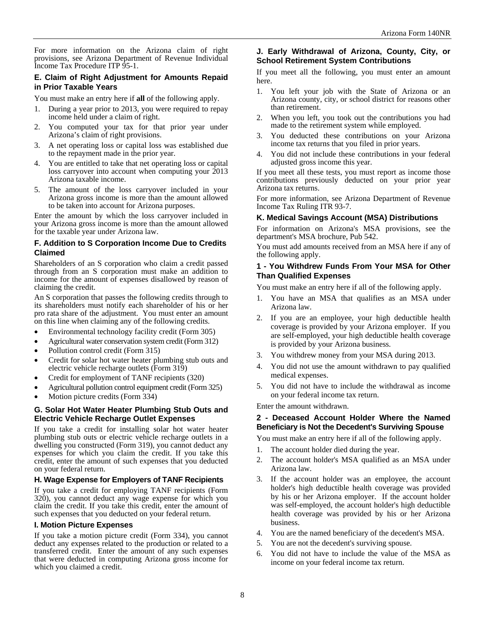For more information on the Arizona claim of right provisions, see Arizona Department of Revenue Individual Income Tax Procedure ITP 95-1.

#### **E. Claim of Right Adjustment for Amounts Repaid in Prior Taxable Years**

You must make an entry here if **all** of the following apply.

- 1. During a year prior to 2013, you were required to repay income held under a claim of right.
- 2. You computed your tax for that prior year under Arizona's claim of right provisions.
- 3. A net operating loss or capital loss was established due to the repayment made in the prior year.
- 4. You are entitled to take that net operating loss or capital loss carryover into account when computing your 2013 Arizona taxable income.
- 5. The amount of the loss carryover included in your Arizona gross income is more than the amount allowed to be taken into account for Arizona purposes.

Enter the amount by which the loss carryover included in your Arizona gross income is more than the amount allowed for the taxable year under Arizona law.

#### **F. Addition to S Corporation Income Due to Credits Claimed**

Shareholders of an S corporation who claim a credit passed through from an S corporation must make an addition to income for the amount of expenses disallowed by reason of claiming the credit.

An S corporation that passes the following credits through to its shareholders must notify each shareholder of his or her pro rata share of the adjustment. You must enter an amount on this line when claiming any of the following credits.

- Environmental technology facility credit (Form 305)
- Agricultural water conservation system credit (Form 312)
- Pollution control credit (Form 315)
- Credit for solar hot water heater plumbing stub outs and electric vehicle recharge outlets (Form 319)
- Credit for employment of TANF recipients (320)
- Agricultural pollution control equipment credit (Form 325)
- Motion picture credits (Form 334)

#### **G. Solar Hot Water Heater Plumbing Stub Outs and Electric Vehicle Recharge Outlet Expenses**

If you take a credit for installing solar hot water heater plumbing stub outs or electric vehicle recharge outlets in a dwelling you constructed (Form 319), you cannot deduct any expenses for which you claim the credit. If you take this credit, enter the amount of such expenses that you deducted on your federal return.

#### **H. Wage Expense for Employers of TANF Recipients**

If you take a credit for employing TANF recipients (Form 320), you cannot deduct any wage expense for which you claim the credit. If you take this credit, enter the amount of such expenses that you deducted on your federal return.

#### **I. Motion Picture Expenses**

If you take a motion picture credit (Form 334), you cannot deduct any expenses related to the production or related to a transferred credit. Enter the amount of any such expenses that were deducted in computing Arizona gross income for which you claimed a credit.

#### **J. Early Withdrawal of Arizona, County, City, or School Retirement System Contributions**

If you meet all the following, you must enter an amount here.

- 1. You left your job with the State of Arizona or an Arizona county, city, or school district for reasons other than retirement.
- 2. When you left, you took out the contributions you had made to the retirement system while employed.
- 3. You deducted these contributions on your Arizona income tax returns that you filed in prior years.
- 4. You did not include these contributions in your federal adjusted gross income this year.

If you meet all these tests, you must report as income those contributions previously deducted on your prior year Arizona tax returns.

For more information, see Arizona Department of Revenue Income Tax Ruling ITR 93-7.

#### **K. Medical Savings Account (MSA) Distributions**

For information on Arizona's MSA provisions, see the department's MSA brochure, Pub 542.

You must add amounts received from an MSA here if any of the following apply.

#### **1 - You Withdrew Funds From Your MSA for Other Than Qualified Expenses**

You must make an entry here if all of the following apply.

- 1. You have an MSA that qualifies as an MSA under Arizona law.
- 2. If you are an employee, your high deductible health coverage is provided by your Arizona employer. If you are self-employed, your high deductible health coverage is provided by your Arizona business.
- 3. You withdrew money from your MSA during 2013.
- 4. You did not use the amount withdrawn to pay qualified medical expenses.
- 5. You did not have to include the withdrawal as income on your federal income tax return.

Enter the amount withdrawn.

#### **2 - Deceased Account Holder Where the Named Beneficiary is Not the Decedent's Surviving Spouse**

You must make an entry here if all of the following apply.

- 1. The account holder died during the year.
- 2. The account holder's MSA qualified as an MSA under Arizona law.
- 3. If the account holder was an employee, the account holder's high deductible health coverage was provided by his or her Arizona employer. If the account holder was self-employed, the account holder's high deductible health coverage was provided by his or her Arizona business.
- 4. You are the named beneficiary of the decedent's MSA.
- 5. You are not the decedent's surviving spouse.
- 6. You did not have to include the value of the MSA as income on your federal income tax return.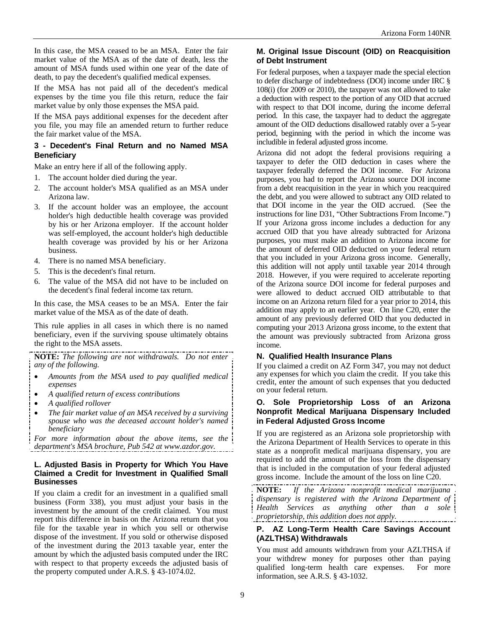In this case, the MSA ceased to be an MSA. Enter the fair market value of the MSA as of the date of death, less the amount of MSA funds used within one year of the date of death, to pay the decedent's qualified medical expenses.

If the MSA has not paid all of the decedent's medical expenses by the time you file this return, reduce the fair market value by only those expenses the MSA paid.

If the MSA pays additional expenses for the decedent after you file, you may file an amended return to further reduce the fair market value of the MSA.

#### **3 - Decedent's Final Return and no Named MSA Beneficiary**

Make an entry here if all of the following apply.

- 1. The account holder died during the year.
- 2. The account holder's MSA qualified as an MSA under Arizona law.
- 3. If the account holder was an employee, the account holder's high deductible health coverage was provided by his or her Arizona employer. If the account holder was self-employed, the account holder's high deductible health coverage was provided by his or her Arizona business.
- 4. There is no named MSA beneficiary.
- 5. This is the decedent's final return.
- 6. The value of the MSA did not have to be included on the decedent's final federal income tax return.

In this case, the MSA ceases to be an MSA. Enter the fair market value of the MSA as of the date of death.

This rule applies in all cases in which there is no named beneficiary, even if the surviving spouse ultimately obtains the right to the MSA assets.

**NOTE:** *The following are not withdrawals. Do not enter any of the following.* 

- *Amounts from the MSA used to pay qualified medical expenses*
- *A qualified return of excess contributions*
- *A qualified rollover*
- *The fair market value of an MSA received by a surviving spouse who was the deceased account holder's named beneficiary*

*For more information about the above items, see the department's MSA brochure, Pub 542 at www.azdor.gov.* 

#### **L. Adjusted Basis in Property for Which You Have Claimed a Credit for Investment in Qualified Small Businesses**

If you claim a credit for an investment in a qualified small business (Form 338), you must adjust your basis in the investment by the amount of the credit claimed. You must report this difference in basis on the Arizona return that you file for the taxable year in which you sell or otherwise dispose of the investment. If you sold or otherwise disposed of the investment during the 2013 taxable year, enter the amount by which the adjusted basis computed under the IRC with respect to that property exceeds the adjusted basis of the property computed under A.R.S. § 43-1074.02.

#### **M. Original Issue Discount (OID) on Reacquisition of Debt Instrument**

For federal purposes, when a taxpayer made the special election to defer discharge of indebtedness (DOI) income under IRC § 108(i) (for 2009 or 2010), the taxpayer was not allowed to take a deduction with respect to the portion of any OID that accrued with respect to that DOI income, during the income deferral period. In this case, the taxpayer had to deduct the aggregate amount of the OID deductions disallowed ratably over a 5-year period, beginning with the period in which the income was includible in federal adjusted gross income.

Arizona did not adopt the federal provisions requiring a taxpayer to defer the OID deduction in cases where the taxpayer federally deferred the DOI income. For Arizona purposes, you had to report the Arizona source DOI income from a debt reacquisition in the year in which you reacquired the debt, and you were allowed to subtract any OID related to that DOI income in the year the OID accrued. (See the instructions for line D31, "Other Subtractions From Income.") If your Arizona gross income includes a deduction for any accrued OID that you have already subtracted for Arizona purposes, you must make an addition to Arizona income for the amount of deferred OID deducted on your federal return that you included in your Arizona gross income. Generally, this addition will not apply until taxable year 2014 through 2018. However, if you were required to accelerate reporting of the Arizona source DOI income for federal purposes and were allowed to deduct accrued OID attributable to that income on an Arizona return filed for a year prior to 2014, this addition may apply to an earlier year. On line C20, enter the amount of any previously deferred OID that you deducted in computing your 2013 Arizona gross income, to the extent that the amount was previously subtracted from Arizona gross income.

#### **N. Qualified Health Insurance Plans**

If you claimed a credit on AZ Form 347, you may not deduct any expenses for which you claim the credit. If you take this credit, enter the amount of such expenses that you deducted on your federal return.

#### **O. Sole Proprietorship Loss of an Arizona Nonprofit Medical Marijuana Dispensary Included in Federal Adjusted Gross Income**

If you are registered as an Arizona sole proprietorship with the Arizona Department of Health Services to operate in this state as a nonprofit medical marijuana dispensary, you are required to add the amount of the loss from the dispensary that is included in the computation of your federal adjusted gross income. Include the amount of the loss on line C20.

**NOTE:** *If the Arizona nonprofit medical marijuana dispensary is registered with the Arizona Department of Health Services as anything other than a sole proprietorship, this addition does not apply.* 

### **P. AZ Long-Term Health Care Savings Account (AZLTHSA) Withdrawals**

You must add amounts withdrawn from your AZLTHSA if your withdrew money for purposes other than paying qualified long-term health care expenses. For more information, see A.R.S. § 43-1032.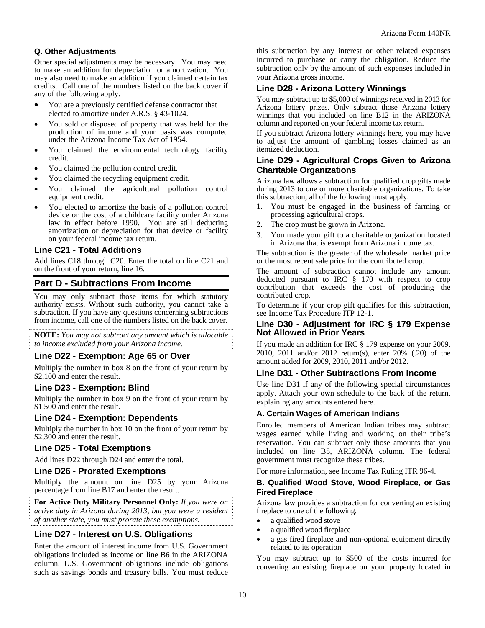### **Q. Other Adjustments**

Other special adjustments may be necessary. You may need to make an addition for depreciation or amortization. You may also need to make an addition if you claimed certain tax credits. Call one of the numbers listed on the back cover if any of the following apply.

- You are a previously certified defense contractor that elected to amortize under A.R.S. § 43-1024.
- You sold or disposed of property that was held for the production of income and your basis was computed under the Arizona Income Tax Act of 1954.
- You claimed the environmental technology facility credit.
- You claimed the pollution control credit.
- You claimed the recycling equipment credit.
- You claimed the agricultural pollution control equipment credit.
- You elected to amortize the basis of a pollution control device or the cost of a childcare facility under Arizona law in effect before 1990. You are still deducting amortization or depreciation for that device or facility on your federal income tax return.

#### **Line C21 - Total Additions**

Add lines C18 through C20. Enter the total on line C21 and on the front of your return, line 16.

### **Part D - Subtractions From Income**

You may only subtract those items for which statutory authority exists. Without such authority, you cannot take a subtraction. If you have any questions concerning subtractions from income, call one of the numbers listed on the back cover.

**NOTE:** *You may not subtract any amount which is allocable to income excluded from your Arizona income.* 

#### **Line D22 - Exemption: Age 65 or Over**

Multiply the number in box 8 on the front of your return by \$2,100 and enter the result.

### **Line D23 - Exemption: Blind**

Multiply the number in box 9 on the front of your return by \$1,500 and enter the result.

### **Line D24 - Exemption: Dependents**

Multiply the number in box 10 on the front of your return by \$2,300 and enter the result.

### **Line D25 - Total Exemptions**

Add lines D22 through D24 and enter the total.

#### **Line D26 - Prorated Exemptions**

Multiply the amount on line D25 by your Arizona percentage from line B17 and enter the result.

**For Active Duty Military Personnel Only:** *If you were on active duty in Arizona during 2013, but you were a resident of another state, you must prorate these exemptions.* 

### **Line D27 - Interest on U.S. Obligations**

Enter the amount of interest income from U.S. Government obligations included as income on line B6 in the ARIZONA column. U.S. Government obligations include obligations such as savings bonds and treasury bills. You must reduce this subtraction by any interest or other related expenses incurred to purchase or carry the obligation. Reduce the subtraction only by the amount of such expenses included in your Arizona gross income.

#### **Line D28 - Arizona Lottery Winnings**

You may subtract up to \$5,000 of winnings received in 2013 for Arizona lottery prizes. Only subtract those Arizona lottery winnings that you included on line B12 in the ARIZONA column and reported on your federal income tax return.

If you subtract Arizona lottery winnings here, you may have to adjust the amount of gambling losses claimed as an itemized deduction.

#### **Line D29 - Agricultural Crops Given to Arizona Charitable Organizations**

Arizona law allows a subtraction for qualified crop gifts made during 2013 to one or more charitable organizations. To take this subtraction, all of the following must apply.

- 1. You must be engaged in the business of farming or processing agricultural crops.
- 2. The crop must be grown in Arizona.
- 3. You made your gift to a charitable organization located in Arizona that is exempt from Arizona income tax.

The subtraction is the greater of the wholesale market price or the most recent sale price for the contributed crop.

The amount of subtraction cannot include any amount deducted pursuant to IRC § 170 with respect to crop contribution that exceeds the cost of producing the contributed crop.

To determine if your crop gift qualifies for this subtraction, see Income Tax Procedure ITP 12-1.

#### **Line D30 - Adjustment for IRC § 179 Expense Not Allowed in Prior Years**

If you made an addition for IRC § 179 expense on your 2009, 2010, 2011 and/or 2012 return(s), enter 20% (.20) of the amount added for 2009, 2010, 2011 and/or 2012.

#### **Line D31 - Other Subtractions From Income**

Use line D31 if any of the following special circumstances apply. Attach your own schedule to the back of the return, explaining any amounts entered here.

#### **A. Certain Wages of American Indians**

Enrolled members of American Indian tribes may subtract wages earned while living and working on their tribe's reservation. You can subtract only those amounts that you included on line B5, ARIZONA column. The federal government must recognize these tribes.

For more information, see Income Tax Ruling ITR 96-4.

#### **B. Qualified Wood Stove, Wood Fireplace, or Gas Fired Fireplace**

Arizona law provides a subtraction for converting an existing fireplace to one of the following.

- a qualified wood stove
- a qualified wood fireplace
- a gas fired fireplace and non-optional equipment directly related to its operation

You may subtract up to \$500 of the costs incurred for converting an existing fireplace on your property located in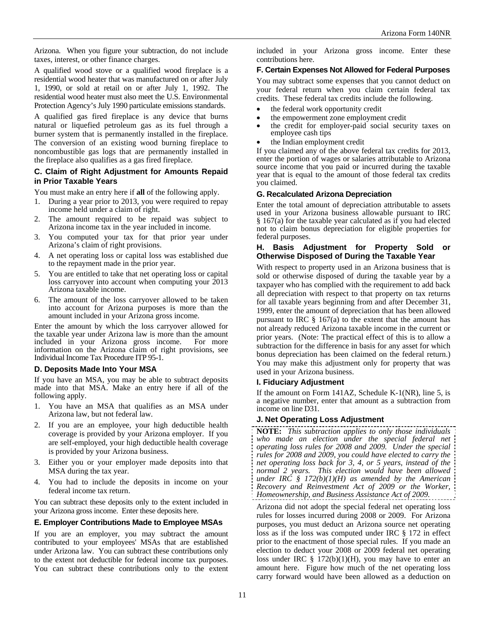Arizona. When you figure your subtraction, do not include taxes, interest, or other finance charges.

A qualified wood stove or a qualified wood fireplace is a residential wood heater that was manufactured on or after July 1, 1990, or sold at retail on or after July 1, 1992. The residential wood heater must also meet the U.S. Environmental Protection Agency's July 1990 particulate emissions standards.

A qualified gas fired fireplace is any device that burns natural or liquefied petroleum gas as its fuel through a burner system that is permanently installed in the fireplace. The conversion of an existing wood burning fireplace to noncombustible gas logs that are permanently installed in the fireplace also qualifies as a gas fired fireplace.

#### **C. Claim of Right Adjustment for Amounts Repaid in Prior Taxable Years**

You must make an entry here if **all** of the following apply.

- 1. During a year prior to 2013, you were required to repay income held under a claim of right.
- 2. The amount required to be repaid was subject to Arizona income tax in the year included in income.
- 3. You computed your tax for that prior year under Arizona's claim of right provisions.
- 4. A net operating loss or capital loss was established due to the repayment made in the prior year.
- 5. You are entitled to take that net operating loss or capital loss carryover into account when computing your 2013 Arizona taxable income.
- 6. The amount of the loss carryover allowed to be taken into account for Arizona purposes is more than the amount included in your Arizona gross income.

Enter the amount by which the loss carryover allowed for the taxable year under Arizona law is more than the amount included in your Arizona gross income. For more information on the Arizona claim of right provisions, see Individual Income Tax Procedure ITP 95-1.

#### **D. Deposits Made Into Your MSA**

If you have an MSA, you may be able to subtract deposits made into that MSA. Make an entry here if all of the following apply.

- You have an MSA that qualifies as an MSA under Arizona law, but not federal law.
- 2. If you are an employee, your high deductible health coverage is provided by your Arizona employer. If you are self-employed, your high deductible health coverage is provided by your Arizona business.
- 3. Either you or your employer made deposits into that MSA during the tax year.
- 4. You had to include the deposits in income on your federal income tax return.

You can subtract these deposits only to the extent included in your Arizona gross income. Enter these deposits here.

#### **E. Employer Contributions Made to Employee MSAs**

If you are an employer, you may subtract the amount contributed to your employees' MSAs that are established under Arizona law. You can subtract these contributions only to the extent not deductible for federal income tax purposes. You can subtract these contributions only to the extent included in your Arizona gross income. Enter these contributions here.

### **F. Certain Expenses Not Allowed for Federal Purposes**

You may subtract some expenses that you cannot deduct on your federal return when you claim certain federal tax credits. These federal tax credits include the following.

- the federal work opportunity credit
- the empowerment zone employment credit
- the credit for employer-paid social security taxes on employee cash tips
- the Indian employment credit

If you claimed any of the above federal tax credits for 2013, enter the portion of wages or salaries attributable to Arizona source income that you paid or incurred during the taxable year that is equal to the amount of those federal tax credits you claimed.

#### **G. Recalculated Arizona Depreciation**

Enter the total amount of depreciation attributable to assets used in your Arizona business allowable pursuant to IRC  $§$  167(a) for the taxable year calculated as if you had elected not to claim bonus depreciation for eligible properties for federal purposes.

#### **H. Basis Adjustment for Property Sold or Otherwise Disposed of During the Taxable Year**

With respect to property used in an Arizona business that is sold or otherwise disposed of during the taxable year by a taxpayer who has complied with the requirement to add back all depreciation with respect to that property on tax returns for all taxable years beginning from and after December 31, 1999, enter the amount of depreciation that has been allowed pursuant to IRC  $\S 167(a)$  to the extent that the amount has not already reduced Arizona taxable income in the current or prior years. (Note: The practical effect of this is to allow a subtraction for the difference in basis for any asset for which bonus depreciation has been claimed on the federal return.) You may make this adjustment only for property that was used in your Arizona business.

#### **I. Fiduciary Adjustment**

If the amount on Form 141AZ, Schedule K-1(NR), line 5, is a negative number, enter that amount as a subtraction from income on line D31.

### **J. Net Operating Loss Adjustment**

**NOTE:** *This subtraction applies to only those individuals who made an election under the special federal net operating loss rules for 2008 and 2009. Under the special rules for 2008 and 2009, you could have elected to carry the net operating loss back for 3, 4, or 5 years, instead of the normal 2 years. This election would have been allowed under IRC § 172(b)(1)(H) as amended by the American Recovery and Reinvestment Act of 2009 or the Worker, Homeownership, and Business Assistance Act of 2009.* 

Arizona did not adopt the special federal net operating loss rules for losses incurred during 2008 or 2009. For Arizona purposes, you must deduct an Arizona source net operating loss as if the loss was computed under IRC § 172 in effect prior to the enactment of those special rules. If you made an election to deduct your 2008 or 2009 federal net operating loss under IRC  $\S$  172(b)(1)(H), you may have to enter an amount here. Figure how much of the net operating loss carry forward would have been allowed as a deduction on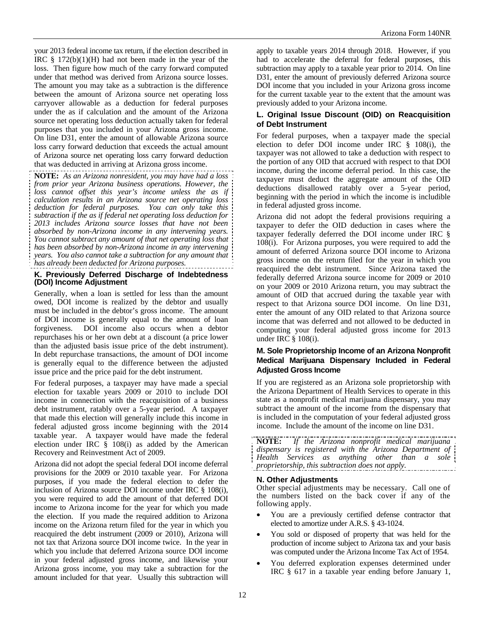your 2013 federal income tax return, if the election described in IRC  $\S$  172(b)(1)(H) had not been made in the year of the loss. Then figure how much of the carry forward computed under that method was derived from Arizona source losses. The amount you may take as a subtraction is the difference between the amount of Arizona source net operating loss carryover allowable as a deduction for federal purposes under the as if calculation and the amount of the Arizona source net operating loss deduction actually taken for federal purposes that you included in your Arizona gross income. On line D31, enter the amount of allowable Arizona source loss carry forward deduction that exceeds the actual amount of Arizona source net operating loss carry forward deduction that was deducted in arriving at Arizona gross income.

**NOTE:** *As an Arizona nonresident, you may have had a loss from prior year Arizona business operations. However, the*  loss cannot offset this year's income unless the as if *calculation results in an Arizona source net operating loss deduction for federal purposes. You can only take this subtraction if the as if federal net operating loss deduction for 2013 includes Arizona source losses that have not been absorbed by non-Arizona income in any intervening years. You cannot subtract any amount of that net operating loss that has been absorbed by non-Arizona income in any intervening years. You also cannot take a subtraction for any amount that has already been deducted for Arizona purposes.* 

#### **K. Previously Deferred Discharge of Indebtedness (DOI) Income Adjustment**

Generally, when a loan is settled for less than the amount owed, DOI income is realized by the debtor and usually must be included in the debtor's gross income. The amount of DOI income is generally equal to the amount of loan forgiveness. DOI income also occurs when a debtor repurchases his or her own debt at a discount (a price lower than the adjusted basis issue price of the debt instrument). In debt repurchase transactions, the amount of DOI income is generally equal to the difference between the adjusted issue price and the price paid for the debt instrument.

For federal purposes, a taxpayer may have made a special election for taxable years 2009 or 2010 to include DOI income in connection with the reacquisition of a business debt instrument, ratably over a 5-year period. A taxpayer that made this election will generally include this income in federal adjusted gross income beginning with the 2014 taxable year. A taxpayer would have made the federal election under IRC § 108(i) as added by the American Recovery and Reinvestment Act of 2009.

Arizona did not adopt the special federal DOI income deferral provisions for the 2009 or 2010 taxable year. For Arizona purposes, if you made the federal election to defer the inclusion of Arizona source DOI income under IRC § 108(i), you were required to add the amount of that deferred DOI income to Arizona income for the year for which you made the election. If you made the required addition to Arizona income on the Arizona return filed for the year in which you reacquired the debt instrument (2009 or 2010), Arizona will not tax that Arizona source DOI income twice. In the year in which you include that deferred Arizona source DOI income in your federal adjusted gross income, and likewise your Arizona gross income, you may take a subtraction for the amount included for that year. Usually this subtraction will

apply to taxable years 2014 through 2018. However, if you had to accelerate the deferral for federal purposes, this subtraction may apply to a taxable year prior to 2014. On line D31, enter the amount of previously deferred Arizona source DOI income that you included in your Arizona gross income for the current taxable year to the extent that the amount was previously added to your Arizona income.

#### **L. Original Issue Discount (OID) on Reacquisition of Debt Instrument**

For federal purposes, when a taxpayer made the special election to defer DOI income under IRC § 108(i), the taxpayer was not allowed to take a deduction with respect to the portion of any OID that accrued with respect to that DOI income, during the income deferral period. In this case, the taxpayer must deduct the aggregate amount of the OID deductions disallowed ratably over a 5-year period, beginning with the period in which the income is includible in federal adjusted gross income.

Arizona did not adopt the federal provisions requiring a taxpayer to defer the OID deduction in cases where the taxpayer federally deferred the DOI income under IRC § 108(i). For Arizona purposes, you were required to add the amount of deferred Arizona source DOI income to Arizona gross income on the return filed for the year in which you reacquired the debt instrument. Since Arizona taxed the federally deferred Arizona source income for 2009 or 2010 on your 2009 or 2010 Arizona return, you may subtract the amount of OID that accrued during the taxable year with respect to that Arizona source DOI income. On line D31, enter the amount of any OID related to that Arizona source income that was deferred and not allowed to be deducted in computing your federal adjusted gross income for 2013 under IRC § 108(i).

#### **M. Sole Proprietorship Income of an Arizona Nonprofit Medical Marijuana Dispensary Included in Federal Adjusted Gross Income**

If you are registered as an Arizona sole proprietorship with the Arizona Department of Health Services to operate in this state as a nonprofit medical marijuana dispensary, you may subtract the amount of the income from the dispensary that is included in the computation of your federal adjusted gross income. Include the amount of the income on line D31.

**NOTE:** *If the Arizona nonprofit medical marijuana dispensary is registered with the Arizona Department of Health Services as anything other than a sole proprietorship, this subtraction does not apply.*

#### **N. Other Adjustments**

Other special adjustments may be necessary. Call one of the numbers listed on the back cover if any of the following apply.

- You are a previously certified defense contractor that elected to amortize under A.R.S. § 43-1024.
- You sold or disposed of property that was held for the production of income subject to Arizona tax and your basis was computed under the Arizona Income Tax Act of 1954.
- You deferred exploration expenses determined under IRC § 617 in a taxable year ending before January 1,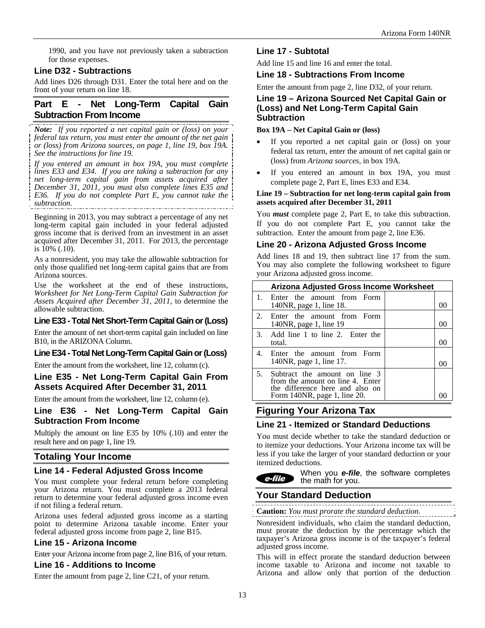1990, and you have not previously taken a subtraction for those expenses.

### **Line D32 - Subtractions**

Add lines D26 through D31. Enter the total here and on the front of your return on line 18.

### **Part E - Net Long-Term Capital Gain Subtraction From Income**

*Note: If you reported a net capital gain or (loss) on your federal tax return, you must enter the amount of the net gain or (loss) from Arizona sources, on page 1, line 19, box 19A. See the instructions for line 19.* 

*If you entered an amount in box 19A, you must complete lines E33 and E34. If you are taking a subtraction for any net long-term capital gain from assets acquired after December 31, 2011, you must also complete lines E35 and E36. If you do not complete Part E, you cannot take the subtraction.* 

Beginning in 2013, you may subtract a percentage of any net long-term capital gain included in your federal adjusted gross income that is derived from an investment in an asset acquired after December 31, 2011. For 2013, the percentage is 10% (.10).

As a nonresident, you may take the allowable subtraction for only those qualified net long-term capital gains that are from Arizona sources.

Use the worksheet at the end of these instructions, *Worksheet for Net Long-Term Capital Gain Subtraction for Assets Acquired after December 31, 2011,* to determine the allowable subtraction.

### **Line E33 - Total Net Short-Term Capital Gain or (Loss)**

Enter the amount of net short-term capital gain included on line B10, in the ARIZONA Column.

### **Line E34 - Total Net Long-Term Capital Gain or (Loss)**

Enter the amount from the worksheet, line 12, column (c).

### **Line E35 - Net Long-Term Capital Gain From Assets Acquired After December 31, 2011**

Enter the amount from the worksheet, line 12, column (e).

### **Line E36 - Net Long-Term Capital Gain Subtraction From Income**

Multiply the amount on line E35 by 10% (.10) and enter the result here and on page 1, line 19.

### **Totaling Your Income**

### **Line 14 - Federal Adjusted Gross Income**

You must complete your federal return before completing your Arizona return. You must complete a 2013 federal return to determine your federal adjusted gross income even if not filing a federal return.

Arizona uses federal adjusted gross income as a starting point to determine Arizona taxable income. Enter your federal adjusted gross income from page 2, line B15.

### **Line 15 - Arizona Income**

Enter your Arizona income from page 2, line B16, of your return.

### **Line 16 - Additions to Income**

Enter the amount from page 2, line C21, of your return.

### **Line 17 - Subtotal**

Add line 15 and line 16 and enter the total.

#### **Line 18 - Subtractions From Income**

Enter the amount from page 2, line D32, of your return.

### **Line 19 – Arizona Sourced Net Capital Gain or (Loss) and Net Long-Term Capital Gain Subtraction**

#### **Box 19A – Net Capital Gain or (loss)**

- If you reported a net capital gain or (loss) on your federal tax return, enter the amount of net capital gain or (loss) from *Arizona sources*, in box 19A.
- If you entered an amount in box 19A, you must complete page 2, Part E, lines E33 and E34.

#### **Line 19 – Subtraction for net long-term capital gain from assets acquired after December 31, 2011**

You *must* complete page 2, Part E, to take this subtraction. If you do not complete Part E, you cannot take the subtraction. Enter the amount from page 2, line E36.

#### **Line 20 - Arizona Adjusted Gross Income**

Add lines 18 and 19, then subtract line 17 from the sum. You may also complete the following worksheet to figure your Arizona adjusted gross income.

|             | <b>Arizona Adjusted Gross Income Worksheet</b>                                                                                       |      |
|-------------|--------------------------------------------------------------------------------------------------------------------------------------|------|
| $1_{-}$     | Enter the amount from Form<br>140NR, page 1, line 18.                                                                                |      |
| $2^{\circ}$ | Enter the amount from Form<br>140NR, page 1, line 19                                                                                 |      |
|             | 3. Add line 1 to line 2. Enter the<br>total.                                                                                         | ( )( |
|             | 4. Enter the amount from Form<br>140NR, page 1, line 17.                                                                             |      |
| 5.          | Subtract the amount on line 3<br>from the amount on line 4. Enter<br>the difference here and also on<br>Form 140NR, page 1, line 20. |      |

### **Figuring Your Arizona Tax**

### **Line 21 - Itemized or Standard Deductions**

You must decide whether to take the standard deduction or to itemize your deductions. Your Arizona income tax will be less if you take the larger of your standard deduction or your itemized deductions.

When you *e-file*, the software completes  $e$ -file the math for you.

### **Your Standard Deduction**

**Caution:** *You must prorate the standard deduction.* 

Nonresident individuals, who claim the standard deduction, must prorate the deduction by the percentage which the taxpayer's Arizona gross income is of the taxpayer's federal adjusted gross income.

This will in effect prorate the standard deduction between income taxable to Arizona and income not taxable to Arizona and allow only that portion of the deduction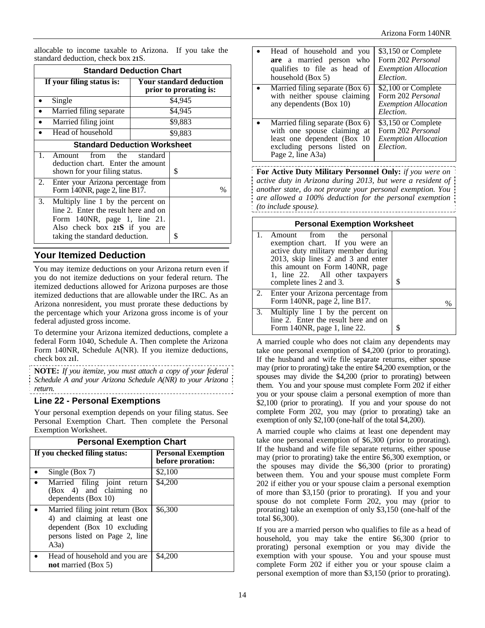allocable to income taxable to Arizona. If you take the standard deduction, check box **21**S.

| <b>Standard Deduction Chart</b> |                                                                                                                                                                              |  |                                                          |
|---------------------------------|------------------------------------------------------------------------------------------------------------------------------------------------------------------------------|--|----------------------------------------------------------|
|                                 | If your filing status is:                                                                                                                                                    |  | <b>Your standard deduction</b><br>prior to prorating is: |
|                                 | Single                                                                                                                                                                       |  | \$4,945                                                  |
|                                 | Married filing separate                                                                                                                                                      |  | \$4,945                                                  |
|                                 | Married filing joint                                                                                                                                                         |  | \$9,883                                                  |
|                                 | Head of household                                                                                                                                                            |  | \$9,883                                                  |
|                                 | <b>Standard Deduction Worksheet</b>                                                                                                                                          |  |                                                          |
| $1_{-}$                         | from the standard<br>Amount<br>deduction chart. Enter the amount<br>shown for your filing status.                                                                            |  | S                                                        |
| 2.                              | Enter your Arizona percentage from<br>Form 140NR, page 2, line B17.                                                                                                          |  | $\%$                                                     |
| 3.                              | Multiply line 1 by the percent on<br>line 2. Enter the result here and on<br>Form 140NR, page 1, line 21.<br>Also check box 21S if you are<br>taking the standard deduction. |  | \$                                                       |

# **Your Itemized Deduction**

You may itemize deductions on your Arizona return even if you do not itemize deductions on your federal return. The itemized deductions allowed for Arizona purposes are those itemized deductions that are allowable under the IRC. As an Arizona nonresident, you must prorate these deductions by the percentage which your Arizona gross income is of your federal adjusted gross income.

To determine your Arizona itemized deductions, complete a federal Form 1040, Schedule A. Then complete the Arizona Form 140NR, Schedule A(NR). If you itemize deductions, check box **21**I.

**NOTE:** *If you itemize, you must attach a copy of your federal Schedule A and your Arizona Schedule A(NR) to your Arizona return.* 

### **Line 22 - Personal Exemptions**

Your personal exemption depends on your filing status. See Personal Exemption Chart. Then complete the Personal Exemption Worksheet.

| <b>Personal Exemption Chart</b>                                                                                                            |                                                |  |
|--------------------------------------------------------------------------------------------------------------------------------------------|------------------------------------------------|--|
| If you checked filing status:                                                                                                              | <b>Personal Exemption</b><br>before proration: |  |
| Single (Box $7$ )                                                                                                                          | \$2,100                                        |  |
| Married filing joint return<br>$(Box 4)$ and claiming<br>no<br>dependents (Box 10)                                                         | \$4,200                                        |  |
| Married filing joint return (Box<br>4) and claiming at least one<br>dependent (Box 10 excluding<br>persons listed on Page 2, line<br>(A3a) | \$6,300                                        |  |
| Head of household and you are<br>not married (Box 5)                                                                                       | \$4,200                                        |  |

| Head of household and you<br>are a married person who<br>qualifies to file as head of<br>household (Box 5)                                           | \$3,150 or Complete<br>Form 202 Personal<br><b>Exemption Allocation</b><br>Election.        |
|------------------------------------------------------------------------------------------------------------------------------------------------------|---------------------------------------------------------------------------------------------|
| Married filing separate (Box 6)<br>with neither spouse claiming<br>any dependents (Box 10)                                                           | \$2,100 or Complete<br>Form 202 <i>Personal</i><br><b>Exemption Allocation</b><br>Election. |
| Married filing separate (Box 6)<br>with one spouse claiming at<br>least one dependent (Box 10<br>excluding persons listed<br>on<br>Page 2, line A3a) | \$3,150 or Complete<br>Form 202 <i>Personal</i><br><b>Exemption Allocation</b><br>Election. |

**For Active Duty Military Personnel Only:** *if you were on active duty in Arizona during 2013, but were a resident of another state, do not prorate your personal exemption. You are allowed a 100% deduction for the personal exemption (to include spouse).* 

| <b>Personal Exemption Worksheet</b>                                                                                                                                                                                                            |   |  |
|------------------------------------------------------------------------------------------------------------------------------------------------------------------------------------------------------------------------------------------------|---|--|
| from the<br>personal<br>Amount<br>exemption chart. If you were an<br>active duty military member during<br>2013, skip lines 2 and 3 and enter<br>this amount on Form 140NR, page<br>1, line 22. All other taxpayers<br>complete lines 2 and 3. | S |  |
| 2. Enter your Arizona percentage from<br>Form 140NR, page $\overline{2}$ , line B17.                                                                                                                                                           | % |  |
| 3. Multiply line 1 by the percent on<br>line 2. Enter the result here and on<br>Form 140NR, page 1, line 22.                                                                                                                                   |   |  |

A married couple who does not claim any dependents may take one personal exemption of \$4,200 (prior to prorating). If the husband and wife file separate returns, either spouse may (prior to prorating) take the entire \$4,200 exemption, or the spouses may divide the \$4,200 (prior to prorating) between them. You and your spouse must complete Form 202 if either you or your spouse claim a personal exemption of more than \$2,100 (prior to prorating). If you and your spouse do not complete Form 202, you may (prior to prorating) take an exemption of only \$2,100 (one-half of the total \$4,200).

A married couple who claims at least one dependent may take one personal exemption of \$6,300 (prior to prorating). If the husband and wife file separate returns, either spouse may (prior to prorating) take the entire \$6,300 exemption, or the spouses may divide the \$6,300 (prior to prorating) between them. You and your spouse must complete Form 202 if either you or your spouse claim a personal exemption of more than \$3,150 (prior to prorating). If you and your spouse do not complete Form 202, you may (prior to prorating) take an exemption of only \$3,150 (one-half of the total \$6,300).

If you are a married person who qualifies to file as a head of household, you may take the entire \$6,300 (prior to prorating) personal exemption or you may divide the exemption with your spouse. You and your spouse must complete Form 202 if either you or your spouse claim a personal exemption of more than \$3,150 (prior to prorating).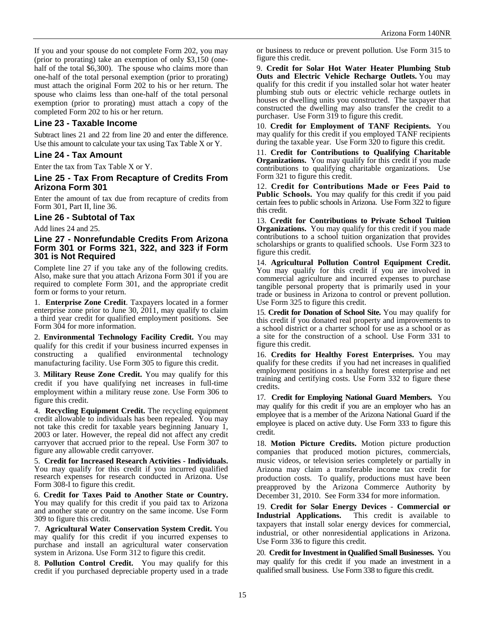If you and your spouse do not complete Form 202, you may (prior to prorating) take an exemption of only \$3,150 (onehalf of the total \$6,300). The spouse who claims more than one-half of the total personal exemption (prior to prorating) must attach the original Form 202 to his or her return. The spouse who claims less than one-half of the total personal exemption (prior to prorating) must attach a copy of the completed Form 202 to his or her return.

### **Line 23 - Taxable Income**

Subtract lines 21 and 22 from line 20 and enter the difference. Use this amount to calculate your tax using Tax Table X or Y.

#### **Line 24 - Tax Amount**

Enter the tax from Tax Table X or Y.

### **Line 25 - Tax From Recapture of Credits From Arizona Form 301**

Enter the amount of tax due from recapture of credits from Form 301, Part II, line 36.

#### **Line 26 - Subtotal of Tax**

Add lines 24 and 25.

#### **Line 27 - Nonrefundable Credits From Arizona Form 301 or Forms 321, 322, and 323 if Form 301 is Not Required**

Complete line 27 if you take any of the following credits. Also, make sure that you attach Arizona Form 301 if you are required to complete Form 301, and the appropriate credit form or forms to your return.

1. **Enterprise Zone Credit**. Taxpayers located in a former enterprise zone prior to June 30, 2011, may qualify to claim a third year credit for qualified employment positions. See Form 304 for more information.

2. **Environmental Technology Facility Credit.** You may qualify for this credit if your business incurred expenses in constructing a qualified environmental technology manufacturing facility. Use Form 305 to figure this credit.

3. **Military Reuse Zone Credit.** You may qualify for this credit if you have qualifying net increases in full-time employment within a military reuse zone. Use Form 306 to figure this credit.

4. **Recycling Equipment Credit.** The recycling equipment credit allowable to individuals has been repealed. You may not take this credit for taxable years beginning January 1, 2003 or later. However, the repeal did not affect any credit carryover that accrued prior to the repeal. Use Form 307 to figure any allowable credit carryover.

5. **Credit for Increased Research Activities - Individuals.** You may qualify for this credit if you incurred qualified research expenses for research conducted in Arizona. Use Form 308-I to figure this credit.

6. **Credit for Taxes Paid to Another State or Country.**  You may qualify for this credit if you paid tax to Arizona and another state or country on the same income. Use Form 309 to figure this credit.

7. **Agricultural Water Conservation System Credit.** You may qualify for this credit if you incurred expenses to purchase and install an agricultural water conservation system in Arizona. Use Form 312 to figure this credit.

8. **Pollution Control Credit.** You may qualify for this credit if you purchased depreciable property used in a trade or business to reduce or prevent pollution. Use Form 315 to figure this credit.

9. **Credit for Solar Hot Water Heater Plumbing Stub Outs and Electric Vehicle Recharge Outlets.** You may qualify for this credit if you installed solar hot water heater plumbing stub outs or electric vehicle recharge outlets in houses or dwelling units you constructed. The taxpayer that constructed the dwelling may also transfer the credit to a purchaser. Use Form 319 to figure this credit.

10. **Credit for Employment of TANF Recipients.** You may qualify for this credit if you employed TANF recipients during the taxable year. Use Form 320 to figure this credit.

11. **Credit for Contributions to Qualifying Charitable Organizations.** You may qualify for this credit if you made contributions to qualifying charitable organizations. Use Form 321 to figure this credit.

12. **Credit for Contributions Made or Fees Paid to Public Schools.** You may qualify for this credit if you paid certain fees to public schools in Arizona. Use Form 322 to figure this credit.

13. **Credit for Contributions to Private School Tuition Organizations.** You may qualify for this credit if you made contributions to a school tuition organization that provides scholarships or grants to qualified schools. Use Form 323 to figure this credit.

14. **Agricultural Pollution Control Equipment Credit.**  You may qualify for this credit if you are involved in commercial agriculture and incurred expenses to purchase tangible personal property that is primarily used in your trade or business in Arizona to control or prevent pollution. Use Form 325 to figure this credit.

15. **Credit for Donation of School Site.** You may qualify for this credit if you donated real property and improvements to a school district or a charter school for use as a school or as a site for the construction of a school. Use Form 331 to figure this credit.

16. **Credits for Healthy Forest Enterprises.** You may qualify for these credits if you had net increases in qualified employment positions in a healthy forest enterprise and net training and certifying costs. Use Form 332 to figure these credits.

17. **Credit for Employing National Guard Members.** You may qualify for this credit if you are an employer who has an employee that is a member of the Arizona National Guard if the employee is placed on active duty. Use Form 333 to figure this credit.

18. **Motion Picture Credits.** Motion picture production companies that produced motion pictures, commercials, music videos, or television series completely or partially in Arizona may claim a transferable income tax credit for production costs. To qualify, productions must have been preapproved by the Arizona Commerce Authority by December 31, 2010. See Form 334 for more information.

19. **Credit for Solar Energy Devices** - **Commercial or Industrial Applications.** This credit is available to taxpayers that install solar energy devices for commercial, industrial, or other nonresidential applications in Arizona. Use Form 336 to figure this credit.

20. **Credit for Investment in Qualified Small Businesses.** You may qualify for this credit if you made an investment in a qualified small business. Use Form 338 to figure this credit.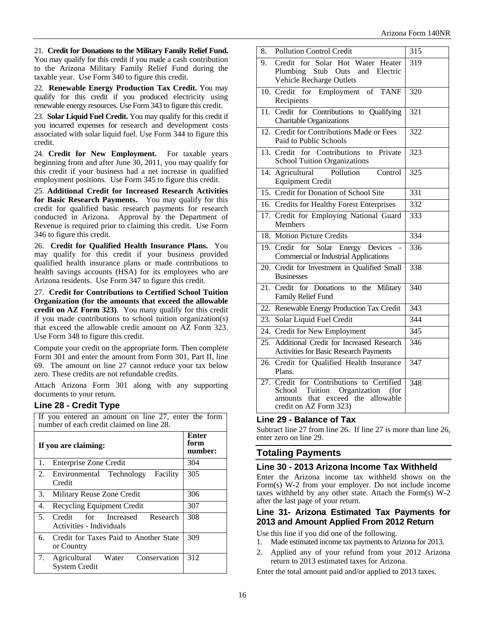21. **Credit for Donations to the Military Family Relief Fund.** You may qualify for this credit if you made a cash contribution to the Arizona Military Family Relief Fund during the taxable year. Use Form 340 to figure this credit.

22. **Renewable Energy Production Tax Credit.** You may qualify for this credit if you produced electricity using renewable energy resources. Use Form 343 to figure this credit.

23. **Solar Liquid Fuel Credit.** You may qualify for this credit if you incurred expenses for research and development costs associated with solar liquid fuel. Use Form 344 to figure this credit.

24. **Credit for New Employment.** For taxable years beginning from and after June 30, 2011, you may qualify for this credit if your business had a net increase in qualified employment positions. Use Form 345 to figure this credit.

25. **Additional Credit for Increased Research Activities for Basic Research Payments.** You may qualify for this credit for qualified basic research payments for research conducted in Arizona. Approval by the Department of Revenue is required prior to claiming this credit. Use Form 346 to figure this credit.

26. **Credit for Qualified Health Insurance Plans.** You may qualify for this credit if your business provided qualified health insurance plans or made contributions to health savings accounts (HSA) for its employees who are Arizona residents. Use Form 347 to figure this credit.

27. **Credit for Contributions to Certified School Tuition Organization (for the amounts that exceed the allowable credit on AZ Form 323)**. You many qualify for this credit if you made contributions to school tuition organization(s) that exceed the allowable credit amount on AZ Form 323. Use Form 348 to figure this credit.

Compute your credit on the appropriate form. Then complete Form 301 and enter the amount from Form 301, Part II, line 69. The amount on line 27 cannot reduce your tax below zero. These credits are not refundable credits.

Attach Arizona Form 301 along with any supporting documents to your return.

### **Line 28 - Credit Type**

| If you entered an amount on line 27, enter the form<br>number of each credit claimed on line 28. |                                 |  |
|--------------------------------------------------------------------------------------------------|---------------------------------|--|
| If you are claiming:                                                                             | <b>Enter</b><br>form<br>number: |  |
| Enterprise Zone Credit<br>1.                                                                     | 304                             |  |
| 2.<br>Environmental Technology<br>Facility<br>Credit                                             | 305                             |  |
| Military Reuse Zone Credit<br>3.                                                                 | 306                             |  |
| Recycling Equipment Credit<br>4.                                                                 | 307                             |  |
| 5.<br>Credit for Increased<br>Research<br>Activities - Individuals                               | 308                             |  |
| 6.<br>Credit for Taxes Paid to Another State<br>or Country                                       | 309                             |  |
| 7. Agricultural Water Conservation<br><b>System Credit</b>                                       | 312                             |  |

| 8.  | <b>Pollution Control Credit</b>                                                                                                                    | 315              |
|-----|----------------------------------------------------------------------------------------------------------------------------------------------------|------------------|
| 9.  | Credit for Solar Hot Water Heater<br>Plumbing Stub Outs and Electric<br>Vehicle Recharge Outlets                                                   | 319              |
|     | 10. Credit for Employment of TANF<br>Recipients                                                                                                    | 320              |
| 11. | Credit for Contributions to Qualifying<br><b>Charitable Organizations</b>                                                                          | 321              |
|     | 12. Credit for Contributions Made or Fees<br>Paid to Public Schools                                                                                | 322              |
|     | 13. Credit for Contributions to<br>Private<br><b>School Tuition Organizations</b>                                                                  | 323              |
|     | Pollution<br>14. Agricultural<br>Control<br><b>Equipment Credit</b>                                                                                | 325              |
|     | 15. Credit for Donation of School Site                                                                                                             | 331              |
|     | 16. Credits for Healthy Forest Enterprises                                                                                                         | 332              |
|     | 17. Credit for Employing National Guard<br><b>Members</b>                                                                                          | 333              |
|     | 18. Motion Picture Credits                                                                                                                         | 334              |
|     | 19. Credit for Solar Energy Devices<br><b>Commercial or Industrial Applications</b>                                                                | 336              |
|     | 20. Credit for Investment in Qualified Small<br><b>Businesses</b>                                                                                  | 338              |
|     | 21. Credit for Donations to the Military<br>Family Relief Fund                                                                                     | $\overline{340}$ |
|     | 22. Renewable Energy Production Tax Credit                                                                                                         | 343              |
| 23. | Solar Liquid Fuel Credit                                                                                                                           | 344              |
|     | 24. Credit for New Employment                                                                                                                      | $\overline{345}$ |
| 25. | Additional Credit for Increased Research<br>Activities for Basic Research Payments                                                                 | 346              |
|     | 26. Credit for Qualified Health Insurance<br>Plans.                                                                                                | 347              |
|     | 27. Credit for Contributions to Certified<br>Tuition Organization<br>School<br>(for<br>amounts that exceed the allowable<br>credit on AZ Form 323) | 348              |

### **Line 29 - Balance of Tax**

Subtract line 27 from line 26. If line 27 is more than line 26, enter zero on line 29.

### **Totaling Payments**

#### **Line 30 - 2013 Arizona Income Tax Withheld**

Enter the Arizona income tax withheld shown on the Form(s) W-2 from your employer. Do not include income taxes withheld by any other state. Attach the Form(s) W-2 after the last page of your return.

### **Line 31- Arizona Estimated Tax Payments for 2013 and Amount Applied From 2012 Return**

Use this line if you did one of the following.

- 1. Made estimated income tax payments to Arizona for 2013.
- 2. Applied any of your refund from your 2012 Arizona return to 2013 estimated taxes for Arizona.

Enter the total amount paid and/or applied to 2013 taxes.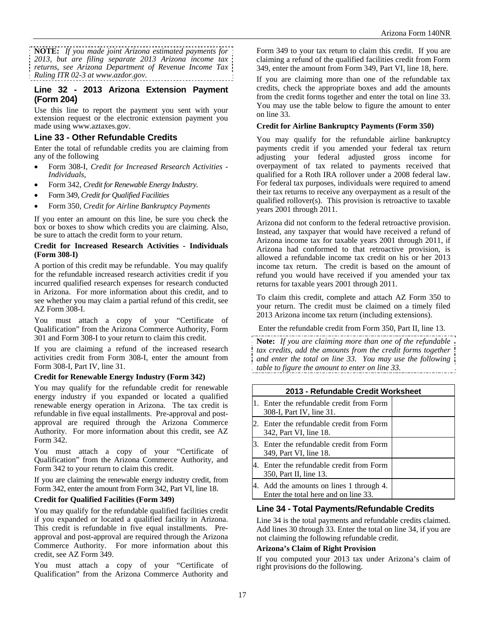**NOTE:** *If you made joint Arizona estimated payments for 2013, but are filing separate 2013 Arizona income tax returns, see Arizona Department of Revenue Income Tax Ruling ITR 02-3 at www.azdor.gov.*

### **Line 32 - 2013 Arizona Extension Payment (Form 204)**

Use this line to report the payment you sent with your extension request or the electronic extension payment you made using www.aztaxes.gov.

### **Line 33 - Other Refundable Credits**

Enter the total of refundable credits you are claiming from any of the following

- Form 308-I, *Credit for Increased Research Activities Individuals*,
- Form 342, *Credit for Renewable Energy Industry.*
- Form 349, *Credit for Qualified Facilities*
- Form 350, *Credit for Airline Bankruptcy Payments*

If you enter an amount on this line, be sure you check the box or boxes to show which credits you are claiming. Also, be sure to attach the credit form to your return.

#### **Credit for Increased Research Activities - Individuals (Form 308-I)**

A portion of this credit may be refundable. You may qualify for the refundable increased research activities credit if you incurred qualified research expenses for research conducted in Arizona. For more information about this credit, and to see whether you may claim a partial refund of this credit, see AZ Form 308-I.

You must attach a copy of your "Certificate of Qualification" from the Arizona Commerce Authority, Form 301 and Form 308-I to your return to claim this credit.

If you are claiming a refund of the increased research activities credit from Form 308-I, enter the amount from Form 308-I, Part IV, line 31.

#### **Credit for Renewable Energy Industry (Form 342)**

You may qualify for the refundable credit for renewable energy industry if you expanded or located a qualified renewable energy operation in Arizona. The tax credit is refundable in five equal installments. Pre-approval and postapproval are required through the Arizona Commerce Authority. For more information about this credit, see AZ Form 342.

You must attach a copy of your "Certificate of Qualification" from the Arizona Commerce Authority, and Form 342 to your return to claim this credit.

If you are claiming the renewable energy industry credit, from Form 342, enter the amount from Form 342, Part VI, line 18.

#### **Credit for Qualified Facilities (Form 349)**

You may qualify for the refundable qualified facilities credit if you expanded or located a qualified facility in Arizona. This credit is refundable in five equal installments. Preapproval and post-approval are required through the Arizona Commerce Authority. For more information about this credit, see AZ Form 349.

You must attach a copy of your "Certificate of Qualification" from the Arizona Commerce Authority and Form 349 to your tax return to claim this credit. If you are claiming a refund of the qualified facilities credit from Form 349, enter the amount from Form 349, Part VI, line 18, here.

If you are claiming more than one of the refundable tax credits, check the appropriate boxes and add the amounts from the credit forms together and enter the total on line 33. You may use the table below to figure the amount to enter on line 33.

#### **Credit for Airline Bankruptcy Payments (Form 350)**

You may qualify for the refundable airline bankruptcy payments credit if you amended your federal tax return adjusting your federal adjusted gross income for overpayment of tax related to payments received that qualified for a Roth IRA rollover under a 2008 federal law. For federal tax purposes, individuals were required to amend their tax returns to receive any overpayment as a result of the qualified rollover(s). This provision is retroactive to taxable years 2001 through 2011.

Arizona did not conform to the federal retroactive provision. Instead, any taxpayer that would have received a refund of Arizona income tax for taxable years 2001 through 2011, if Arizona had conformed to that retroactive provision, is allowed a refundable income tax credit on his or her 2013 income tax return. The credit is based on the amount of refund you would have received if you amended your tax returns for taxable years 2001 through 2011.

To claim this credit, complete and attach AZ Form 350 to your return. The credit must be claimed on a timely filed 2013 Arizona income tax return (including extensions).

Enter the refundable credit from Form 350, Part II, line 13.

**Note:** *If you are claiming more than one of the refundable tax credits, add the amounts from the credit forms together and enter the total on line 33. You may use the following table to figure the amount to enter on line 33.* 

|     | 2013 - Refundable Credit Worksheet                                            |  |  |
|-----|-------------------------------------------------------------------------------|--|--|
| 11. | Enter the refundable credit from Form<br>308-I, Part IV, line 31.             |  |  |
| 2.  | Enter the refundable credit from Form<br>342, Part VI, line 18.               |  |  |
|     | 3. Enter the refundable credit from Form<br>349, Part VI, line 18.            |  |  |
| 4.  | Enter the refundable credit from Form<br>350, Part II, line 13.               |  |  |
| 4.  | Add the amounts on lines 1 through 4.<br>Enter the total here and on line 33. |  |  |

### **Line 34 - Total Payments/Refundable Credits**

Line 34 is the total payments and refundable credits claimed. Add lines 30 through 33. Enter the total on line 34, if you are not claiming the following refundable credit.

#### **Arizona's Claim of Right Provision**

If you computed your 2013 tax under Arizona's claim of right provisions do the following.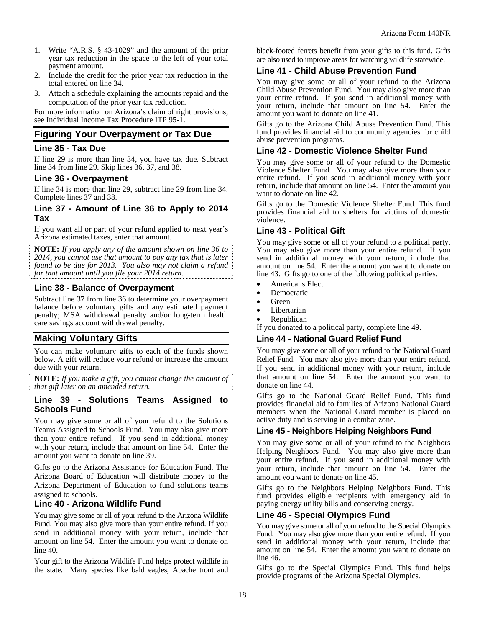- 1. Write "A.R.S. § 43-1029" and the amount of the prior year tax reduction in the space to the left of your total payment amount.
- 2. Include the credit for the prior year tax reduction in the total entered on line 34.
- 3. Attach a schedule explaining the amounts repaid and the computation of the prior year tax reduction.

For more information on Arizona's claim of right provisions, see Individual Income Tax Procedure ITP 95-1.

### **Figuring Your Overpayment or Tax Due**

### **Line 35 - Tax Due**

If line 29 is more than line 34, you have tax due. Subtract line 34 from line 29. Skip lines 36, 37, and 38.

#### **Line 36 - Overpayment**

If line 34 is more than line 29, subtract line 29 from line 34. Complete lines 37 and 38.

#### **Line 37 - Amount of Line 36 to Apply to 2014 Tax**

If you want all or part of your refund applied to next year's Arizona estimated taxes, enter that amount.

**NOTE:** *If you apply any of the amount shown on line 36 to 2014, you cannot use that amount to pay any tax that is later found to be due for 2013. You also may not claim a refund for that amount until you file your 2014 return.*

### **Line 38 - Balance of Overpayment**

Subtract line 37 from line 36 to determine your overpayment balance before voluntary gifts and any estimated payment penalty; MSA withdrawal penalty and/or long-term health care savings account withdrawal penalty.

### **Making Voluntary Gifts**

You can make voluntary gifts to each of the funds shown below. A gift will reduce your refund or increase the amount due with your return.

**NOTE:** *If you make a gift, you cannot change the amount of that gift later on an amended return.*

#### **Line 39 - Solutions Teams Assigned to Schools Fund**

You may give some or all of your refund to the Solutions Teams Assigned to Schools Fund. You may also give more than your entire refund. If you send in additional money with your return, include that amount on line 54. Enter the amount you want to donate on line 39.

Gifts go to the Arizona Assistance for Education Fund. The Arizona Board of Education will distribute money to the Arizona Department of Education to fund solutions teams assigned to schools.

### **Line 40 - Arizona Wildlife Fund**

You may give some or all of your refund to the Arizona Wildlife Fund. You may also give more than your entire refund. If you send in additional money with your return, include that amount on line 54. Enter the amount you want to donate on line 40.

Your gift to the Arizona Wildlife Fund helps protect wildlife in the state. Many species like bald eagles, Apache trout and black-footed ferrets benefit from your gifts to this fund. Gifts are also used to improve areas for watching wildlife statewide.

### **Line 41 - Child Abuse Prevention Fund**

You may give some or all of your refund to the Arizona Child Abuse Prevention Fund. You may also give more than your entire refund. If you send in additional money with your return, include that amount on line 54. Enter the amount you want to donate on line 41.

Gifts go to the Arizona Child Abuse Prevention Fund. This fund provides financial aid to community agencies for child abuse prevention programs.

### **Line 42 - Domestic Violence Shelter Fund**

You may give some or all of your refund to the Domestic Violence Shelter Fund. You may also give more than your entire refund. If you send in additional money with your return, include that amount on line 54. Enter the amount you want to donate on line 42.

Gifts go to the Domestic Violence Shelter Fund. This fund provides financial aid to shelters for victims of domestic violence.

### **Line 43 - Political Gift**

You may give some or all of your refund to a political party. You may also give more than your entire refund. If you send in additional money with your return, include that amount on line 54. Enter the amount you want to donate on line 43. Gifts go to one of the following political parties.

- Americans Elect
- Democratic
- Green
- Libertarian
- Republican

If you donated to a political party, complete line 49.

#### **Line 44 - National Guard Relief Fund**

You may give some or all of your refund to the National Guard Relief Fund. You may also give more than your entire refund. If you send in additional money with your return, include that amount on line 54. Enter the amount you want to donate on line 44.

Gifts go to the National Guard Relief Fund. This fund provides financial aid to families of Arizona National Guard members when the National Guard member is placed on active duty and is serving in a combat zone.

### **Line 45 - Neighbors Helping Neighbors Fund**

You may give some or all of your refund to the Neighbors Helping Neighbors Fund. You may also give more than your entire refund. If you send in additional money with your return, include that amount on line 54. Enter the amount you want to donate on line 45.

Gifts go to the Neighbors Helping Neighbors Fund. This fund provides eligible recipients with emergency aid in paying energy utility bills and conserving energy.

### **Line 46 - Special Olympics Fund**

You may give some or all of your refund to the Special Olympics Fund. You may also give more than your entire refund. If you send in additional money with your return, include that amount on line 54. Enter the amount you want to donate on line 46.

Gifts go to the Special Olympics Fund. This fund helps provide programs of the Arizona Special Olympics.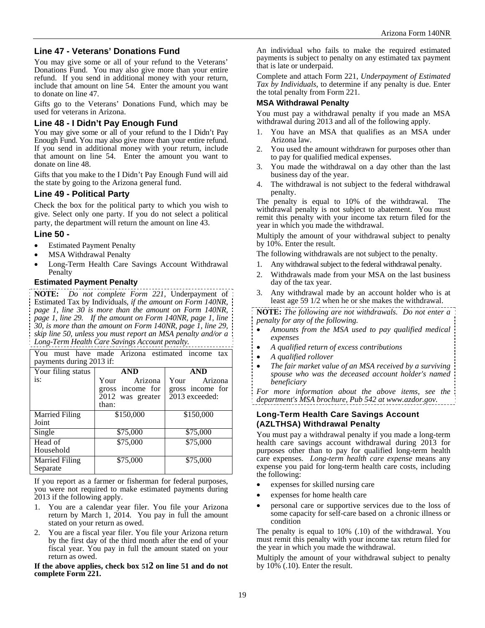### **Line 47 - Veterans' Donations Fund**

You may give some or all of your refund to the Veterans' Donations Fund. You may also give more than your entire refund. If you send in additional money with your return, include that amount on line 54. Enter the amount you want to donate on line 47.

Gifts go to the Veterans' Donations Fund, which may be used for veterans in Arizona.

### **Line 48 - I Didn't Pay Enough Fund**

You may give some or all of your refund to the I Didn't Pay Enough Fund. You may also give more than your entire refund. If you send in additional money with your return, include that amount on line 54. Enter the amount you want to donate on line 48.

Gifts that you make to the I Didn't Pay Enough Fund will aid the state by going to the Arizona general fund.

### **Line 49 - Political Party**

Check the box for the political party to which you wish to give. Select only one party. If you do not select a political party, the department will return the amount on line 43.

#### **Line 50 -**

- Estimated Payment Penalty
- MSA Withdrawal Penalty
- Long-Term Health Care Savings Account Withdrawal **Penalty**

#### **Estimated Payment Penalty**

**NOTE:** *Do not complete Form 221,* Underpayment of Estimated Tax by Individuals*, if the amount on Form 140NR, page 1, line 30 is more than the amount on Form 140NR, page 1, line 29. If the amount on Form 140NR, page 1, line 30, is more than the amount on Form 140NR, page 1, line 29, skip line 50, unless you must report an MSA penalty and/or a Long-Term Health Care Savings Account penalty.*

You must have made Arizona estimated income tax payments during 2013 if: Your filing status is: **AND**  Your Arizona gross income for 2012 was greater than: **AND** Your Arizona gross income for 2013 exceeded: Married Filing Joint \$150,000 \$150,000 Single \$75,000 \$75,000 Head of Household \$75,000 \$75,000 Married Filing Separate \$75,000 \$75,000

If you report as a farmer or fisherman for federal purposes, you were not required to make estimated payments during 2013 if the following apply.

- 1. You are a calendar year filer. You file your Arizona return by March 1, 2014. You pay in full the amount stated on your return as owed.
- 2. You are a fiscal year filer. You file your Arizona return by the first day of the third month after the end of your fiscal year. You pay in full the amount stated on your return as owed.

**If the above applies, check box 512 on line 51 and do not complete Form 221.** 

An individual who fails to make the required estimated payments is subject to penalty on any estimated tax payment that is late or underpaid.

Complete and attach Form 221, *Underpayment of Estimated Tax by Individuals*, to determine if any penalty is due. Enter the total penalty from Form 221.

#### **MSA Withdrawal Penalty**

You must pay a withdrawal penalty if you made an MSA withdrawal during 2013 and all of the following apply.

- You have an MSA that qualifies as an MSA under Arizona law.
- 2. You used the amount withdrawn for purposes other than to pay for qualified medical expenses.
- 3. You made the withdrawal on a day other than the last business day of the year.
- 4. The withdrawal is not subject to the federal withdrawal penalty.

The penalty is equal to 10% of the withdrawal. The withdrawal penalty is not subject to abatement. You must remit this penalty with your income tax return filed for the year in which you made the withdrawal.

Multiply the amount of your withdrawal subject to penalty by 10%. Enter the result.

The following withdrawals are not subject to the penalty.

- 1. Any withdrawal subject to the federal withdrawal penalty.
- 2. Withdrawals made from your MSA on the last business day of the tax year.
- 3. Any withdrawal made by an account holder who is at least age 59 1/2 when he or she makes the withdrawal.

**NOTE:** *The following are not withdrawals. Do not enter a penalty for any of the following.* 

- *Amounts from the MSA used to pay qualified medical expenses*
- *A qualified return of excess contributions*
- *A qualified rollover*
- *The fair market value of an MSA received by a surviving spouse who was the deceased account holder's named beneficiary*

*For more information about the above items, see the department's MSA brochure, Pub 542 at www.azdor.gov.* 

#### **Long-Term Health Care Savings Account (AZLTHSA) Withdrawal Penalty**

You must pay a withdrawal penalty if you made a long-term health care savings account withdrawal during 2013 for purposes other than to pay for qualified long-term health care expenses. *Long-term health care expense* means any expense you paid for long-term health care costs, including the following:

- expenses for skilled nursing care
- expenses for home health care
- personal care or supportive services due to the loss of some capacity for self-care based on a chronic illness or condition

The penalty is equal to 10% (.10) of the withdrawal. You must remit this penalty with your income tax return filed for the year in which you made the withdrawal.

Multiply the amount of your withdrawal subject to penalty by  $10\%$  (.10). Enter the result.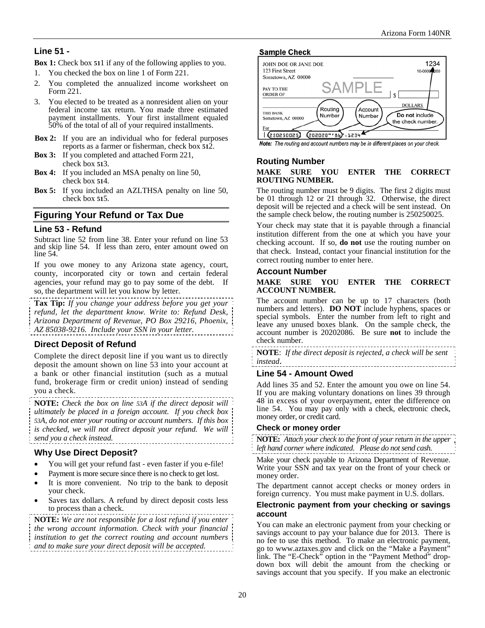## **Line 51 -**

**Box 1:** Check box **51**1 if any of the following applies to you.

- 1. You checked the box on line 1 of Form 221.
- 2. You completed the annualized income worksheet on Form 221.
- 3. You elected to be treated as a nonresident alien on your federal income tax return. You made three estimated payment installments. Your first installment equaled 50% of the total of all of your required installments.
- **Box 2:** If you are an individual who for federal purposes reports as a farmer or fisherman, check box **51**2.
- **Box 3:** If you completed and attached Form 221, check box **51**3.
- **Box 4:** If you included an MSA penalty on line 50, check box **51**4.
- **Box 5:** If you included an AZLTHSA penalty on line 50, check box **51**5.

### **Figuring Your Refund or Tax Due**

#### **Line 53 - Refund**

Subtract line 52 from line 38. Enter your refund on line 53 and skip line 54. If less than zero, enter amount owed on line 54.

If you owe money to any Arizona state agency, court, county, incorporated city or town and certain federal agencies, your refund may go to pay some of the debt. If so, the department will let you know by letter.

**Tax Tip:** *If you change your address before you get your refund, let the department know. Write to: Refund Desk, Arizona Department of Revenue, PO Box 29216, Phoenix, AZ 85038-9216. Include your SSN in your letter.* 

### **Direct Deposit of Refund**

Complete the direct deposit line if you want us to directly deposit the amount shown on line 53 into your account at a bank or other financial institution (such as a mutual fund, brokerage firm or credit union) instead of sending you a check.

**NOTE:** *Check the box on line 53A if the direct deposit will ultimately be placed in a foreign account. If you check box 53A, do not enter your routing or account numbers. If this box is checked, we will not direct deposit your refund. We will send you a check instead.* 

### **Why Use Direct Deposit?**

- You will get your refund fast even faster if you e-file!
- Payment is more secure since there is no check to get lost.
- It is more convenient. No trip to the bank to deposit your check.
- Saves tax dollars. A refund by direct deposit costs less to process than a check.

**NOTE:** *We are not responsible for a lost refund if you enter the wrong account information. Check with your financial institution to get the correct routing and account numbers and to make sure your direct deposit will be accepted.*





Note: The routing and account numbers may be in different places on your check.

### **Routing Number**

#### **MAKE SURE YOU ENTER THE CORRECT ROUTING NUMBER.**

The routing number must be 9 digits. The first 2 digits must be 01 through 12 or 21 through 32. Otherwise, the direct deposit will be rejected and a check will be sent instead. On the sample check below, the routing number is 250250025.

Your check may state that it is payable through a financial institution different from the one at which you have your checking account. If so, **do not** use the routing number on that check. Instead, contact your financial institution for the correct routing number to enter here.

#### **Account Number**

#### **MAKE SURE YOU ENTER THE CORRECT ACCOUNT NUMBER.**

The account number can be up to 17 characters (both numbers and letters). **DO NOT** include hyphens, spaces or special symbols. Enter the number from left to right and leave any unused boxes blank. On the sample check, the account number is 20202086. Be sure **not** to include the check number.

**NOTE**: *If the direct deposit is rejected, a check will be sent instead*.

### **Line 54 - Amount Owed**

Add lines 35 and 52. Enter the amount you owe on line 54. If you are making voluntary donations on lines 39 through 48 in excess of your overpayment, enter the difference on line 54.You may pay only with a check, electronic check, money order, or credit card.

#### **Check or money order**

**NOTE:** *Attach your check to the front of your return in the upper left hand corner where indicated*. *Please do not send cash.*

Make your check payable to Arizona Department of Revenue. Write your SSN and tax year on the front of your check or money order.

The department cannot accept checks or money orders in foreign currency. You must make payment in U.S. dollars.

#### **Electronic payment from your checking or savings account**

You can make an electronic payment from your checking or savings account to pay your balance due for 2013. There is no fee to use this method. To make an electronic payment, go to www.aztaxes.gov and click on the "Make a Payment" link. The "E-Check" option in the "Payment Method" dropdown box will debit the amount from the checking or savings account that you specify. If you make an electronic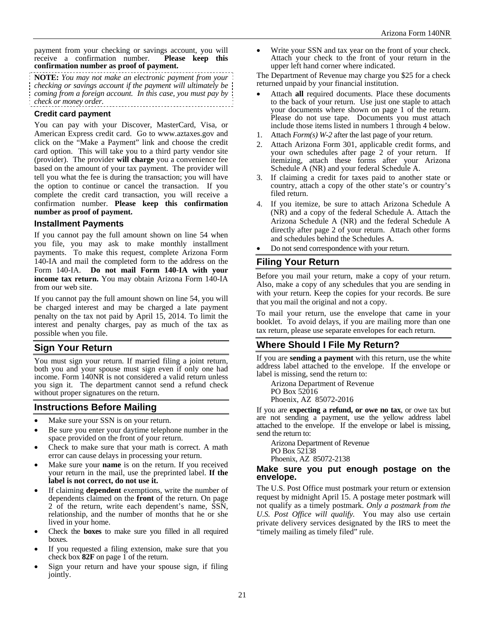payment from your checking or savings account, you will receive a confirmation number. **Please keep this confirmation number as proof of payment.** 

**NOTE:** *You may not make an electronic payment from your checking or savings account if the payment will ultimately be coming from a foreign account. In this case, you must pay by check or money order.*  . . . . . . . . . . . . . . . . . . . .

#### **Credit card payment**

You can pay with your Discover, MasterCard, Visa, or American Express credit card. Go to www.aztaxes.gov and click on the "Make a Payment" link and choose the credit card option. This will take you to a third party vendor site (provider). The provider **will charge** you a convenience fee based on the amount of your tax payment. The provider will tell you what the fee is during the transaction; you will have the option to continue or cancel the transaction. If you complete the credit card transaction, you will receive a confirmation number. **Please keep this confirmation number as proof of payment.**

#### **Installment Payments**

If you cannot pay the full amount shown on line 54 when you file, you may ask to make monthly installment payments. To make this request, complete Arizona Form 140-IA and mail the completed form to the address on the Form 140-IA. **Do not mail Form 140**-**IA with your income tax return.** You may obtain Arizona Form 140-IA from our web site.

If you cannot pay the full amount shown on line 54, you will be charged interest and may be charged a late payment penalty on the tax not paid by April 15, 2014. To limit the interest and penalty charges, pay as much of the tax as possible when you file.

### **Sign Your Return**

You must sign your return. If married filing a joint return, both you and your spouse must sign even if only one had income. Form 140NR is not considered a valid return unless you sign it. The department cannot send a refund check without proper signatures on the return.

### **Instructions Before Mailing**

- Make sure your SSN is on your return.
- Be sure you enter your daytime telephone number in the space provided on the front of your return.
- Check to make sure that your math is correct. A math error can cause delays in processing your return.
- Make sure your **name** is on the return. If you received your return in the mail, use the preprinted label. **If the label is not correct, do not use it.**
- If claiming **dependent** exemptions, write the number of dependents claimed on the **front** of the return. On page 2 of the return, write each dependent's name, SSN, relationship, and the number of months that he or she lived in your home.
- Check the **boxes** to make sure you filled in all required boxes.
- If you requested a filing extension, make sure that you check box **82F** on page 1 of the return.
- Sign your return and have your spouse sign, if filing jointly.

 Write your SSN and tax year on the front of your check. Attach your check to the front of your return in the upper left hand corner where indicated.

The Department of Revenue may charge you \$25 for a check returned unpaid by your financial institution.

- Attach **all** required documents. Place these documents to the back of your return. Use just one staple to attach your documents where shown on page 1 of the return. Please do not use tape. Documents you must attach include those items listed in numbers 1 through 4 below.
- 1. Attach *Form(s) W-2* after the last page of your return.
- 2. Attach Arizona Form 301, applicable credit forms, and your own schedules after page 2 of your return. If itemizing, attach these forms after your Arizona Schedule A (NR) and your federal Schedule A.
- If claiming a credit for taxes paid to another state or country, attach a copy of the other state's or country's filed return.
- 4. If you itemize, be sure to attach Arizona Schedule A (NR) and a copy of the federal Schedule A. Attach the Arizona Schedule A (NR) and the federal Schedule A directly after page 2 of your return. Attach other forms and schedules behind the Schedules A.
- Do not send correspondence with your return.

### **Filing Your Return**

Before you mail your return, make a copy of your return. Also, make a copy of any schedules that you are sending in with your return. Keep the copies for your records. Be sure that you mail the original and not a copy.

To mail your return, use the envelope that came in your booklet. To avoid delays, if you are mailing more than one tax return, please use separate envelopes for each return.

# **Where Should I File My Return?**

If you are **sending a payment** with this return, use the white address label attached to the envelope. If the envelope or label is missing, send the return to:

Arizona Department of Revenue PO Box 52016 Phoenix, AZ 85072-2016

If you are **expecting a refund, or owe no tax**, or owe tax but are not sending a payment, use the yellow address label attached to the envelope. If the envelope or label is missing, send the return to:

Arizona Department of Revenue PO Box 52138 Phoenix, AZ 85072-2138

#### **Make sure you put enough postage on the envelope.**

The U.S. Post Office must postmark your return or extension request by midnight April 15. A postage meter postmark will not qualify as a timely postmark. *Only a postmark from the U.S. Post Office will qualify.* You may also use certain private delivery services designated by the IRS to meet the "timely mailing as timely filed" rule.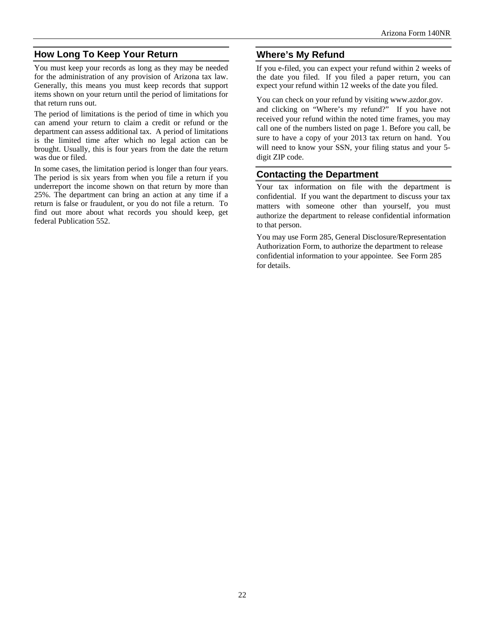# **How Long To Keep Your Return**

You must keep your records as long as they may be needed for the administration of any provision of Arizona tax law. Generally, this means you must keep records that support items shown on your return until the period of limitations for that return runs out.

The period of limitations is the period of time in which you can amend your return to claim a credit or refund or the department can assess additional tax. A period of limitations is the limited time after which no legal action can be brought. Usually, this is four years from the date the return was due or filed.

In some cases, the limitation period is longer than four years. The period is six years from when you file a return if you underreport the income shown on that return by more than 25%. The department can bring an action at any time if a return is false or fraudulent, or you do not file a return. To find out more about what records you should keep, get federal Publication 552.

# **Where's My Refund**

If you e-filed, you can expect your refund within 2 weeks of the date you filed. If you filed a paper return, you can expect your refund within 12 weeks of the date you filed.

You can check on your refund by visiting www.azdor.gov. and clicking on "Where's my refund?" If you have not received your refund within the noted time frames, you may call one of the numbers listed on page 1. Before you call, be sure to have a copy of your 2013 tax return on hand. You will need to know your SSN, your filing status and your 5 digit ZIP code.

# **Contacting the Department**

Your tax information on file with the department is confidential. If you want the department to discuss your tax matters with someone other than yourself, you must authorize the department to release confidential information to that person.

You may use Form 285, General Disclosure/Representation Authorization Form, to authorize the department to release confidential information to your appointee. See Form 285 for details.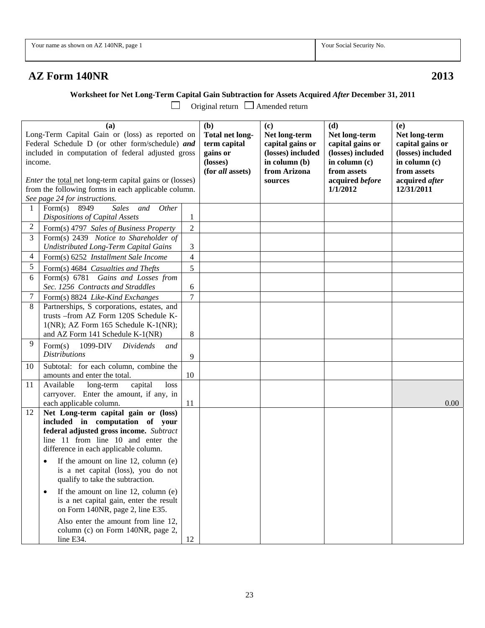|--|--|

Your Social Security No.

# **AZ Form 140NR 2013**

 **Worksheet for Net Long-Term Capital Gain Subtraction for Assets Acquired** *After* **December 31, 2011<br>
□ Original return □ Amended return** 

Original return  $\Box$  Amended return

| (a)<br>Long-Term Capital Gain or (loss) as reported on<br>Federal Schedule D (or other form/schedule) and<br>included in computation of federal adjusted gross<br>income.<br>Enter the total net long-term capital gains or (losses)<br>from the following forms in each applicable column. |                                                                                                                                                                                                                                                                                                                                                                                                                                                                                                                                              |                | (b)<br>Total net long-<br>term capital<br>gains or<br>(losses)<br>(for all assets) | (c)<br>Net long-term<br>capital gains or<br>(losses) included<br>in column (b)<br>from Arizona<br>sources | (d)<br>Net long-term<br>capital gains or<br>(losses) included<br>in column (c)<br>from assets<br>acquired before<br>1/1/2012 | (e)<br>Net long-term<br>capital gains or<br>(losses) included<br>in column (c)<br>from assets<br>acquired after<br>12/31/2011 |
|---------------------------------------------------------------------------------------------------------------------------------------------------------------------------------------------------------------------------------------------------------------------------------------------|----------------------------------------------------------------------------------------------------------------------------------------------------------------------------------------------------------------------------------------------------------------------------------------------------------------------------------------------------------------------------------------------------------------------------------------------------------------------------------------------------------------------------------------------|----------------|------------------------------------------------------------------------------------|-----------------------------------------------------------------------------------------------------------|------------------------------------------------------------------------------------------------------------------------------|-------------------------------------------------------------------------------------------------------------------------------|
|                                                                                                                                                                                                                                                                                             | See page 24 for instructions.                                                                                                                                                                                                                                                                                                                                                                                                                                                                                                                |                |                                                                                    |                                                                                                           |                                                                                                                              |                                                                                                                               |
| 1                                                                                                                                                                                                                                                                                           | 8949<br><b>Sales</b><br>Form(s)<br>Other<br>and<br>Dispositions of Capital Assets                                                                                                                                                                                                                                                                                                                                                                                                                                                            | 1              |                                                                                    |                                                                                                           |                                                                                                                              |                                                                                                                               |
| $\overline{c}$                                                                                                                                                                                                                                                                              | Form(s) 4797 Sales of Business Property                                                                                                                                                                                                                                                                                                                                                                                                                                                                                                      | $\sqrt{2}$     |                                                                                    |                                                                                                           |                                                                                                                              |                                                                                                                               |
| 3                                                                                                                                                                                                                                                                                           | Form(s) 2439 Notice to Shareholder of                                                                                                                                                                                                                                                                                                                                                                                                                                                                                                        |                |                                                                                    |                                                                                                           |                                                                                                                              |                                                                                                                               |
|                                                                                                                                                                                                                                                                                             | <b>Undistributed Long-Term Capital Gains</b>                                                                                                                                                                                                                                                                                                                                                                                                                                                                                                 | 3              |                                                                                    |                                                                                                           |                                                                                                                              |                                                                                                                               |
| 4                                                                                                                                                                                                                                                                                           | Form(s) 6252 Installment Sale Income                                                                                                                                                                                                                                                                                                                                                                                                                                                                                                         | $\overline{4}$ |                                                                                    |                                                                                                           |                                                                                                                              |                                                                                                                               |
| 5                                                                                                                                                                                                                                                                                           | Form(s) 4684 Casualties and Thefts                                                                                                                                                                                                                                                                                                                                                                                                                                                                                                           | 5              |                                                                                    |                                                                                                           |                                                                                                                              |                                                                                                                               |
| 6                                                                                                                                                                                                                                                                                           | Form(s) 6781 Gains and Losses from                                                                                                                                                                                                                                                                                                                                                                                                                                                                                                           |                |                                                                                    |                                                                                                           |                                                                                                                              |                                                                                                                               |
|                                                                                                                                                                                                                                                                                             | Sec. 1256 Contracts and Straddles                                                                                                                                                                                                                                                                                                                                                                                                                                                                                                            | 6              |                                                                                    |                                                                                                           |                                                                                                                              |                                                                                                                               |
| 7                                                                                                                                                                                                                                                                                           | Form(s) 8824 Like-Kind Exchanges                                                                                                                                                                                                                                                                                                                                                                                                                                                                                                             | $\overline{7}$ |                                                                                    |                                                                                                           |                                                                                                                              |                                                                                                                               |
| 8                                                                                                                                                                                                                                                                                           | Partnerships, S corporations, estates, and<br>trusts -- from AZ Form 120S Schedule K-<br>1(NR); AZ Form 165 Schedule K-1(NR);<br>and AZ Form 141 Schedule K-1(NR)                                                                                                                                                                                                                                                                                                                                                                            | 8              |                                                                                    |                                                                                                           |                                                                                                                              |                                                                                                                               |
| 9                                                                                                                                                                                                                                                                                           | Form(s)<br>1099-DIV<br>Dividends<br>and<br><i>Distributions</i>                                                                                                                                                                                                                                                                                                                                                                                                                                                                              | 9              |                                                                                    |                                                                                                           |                                                                                                                              |                                                                                                                               |
| 10                                                                                                                                                                                                                                                                                          | Subtotal: for each column, combine the<br>amounts and enter the total.                                                                                                                                                                                                                                                                                                                                                                                                                                                                       | 10             |                                                                                    |                                                                                                           |                                                                                                                              |                                                                                                                               |
| 11                                                                                                                                                                                                                                                                                          | Available<br>long-term<br>capital<br>loss<br>carryover. Enter the amount, if any, in<br>each applicable column.                                                                                                                                                                                                                                                                                                                                                                                                                              | 11             |                                                                                    |                                                                                                           |                                                                                                                              | 0.00                                                                                                                          |
| 12                                                                                                                                                                                                                                                                                          | Net Long-term capital gain or (loss)<br>included in computation of your<br>federal adjusted gross income. Subtract<br>line 11 from line 10 and enter the<br>difference in each applicable column.<br>If the amount on line 12, column (e)<br>is a net capital (loss), you do not<br>qualify to take the subtraction.<br>If the amount on line $12$ , column (e)<br>٠<br>is a net capital gain, enter the result<br>on Form 140NR, page 2, line E35.<br>Also enter the amount from line 12,<br>column (c) on Form 140NR, page 2,<br>line E34. | 12             |                                                                                    |                                                                                                           |                                                                                                                              |                                                                                                                               |